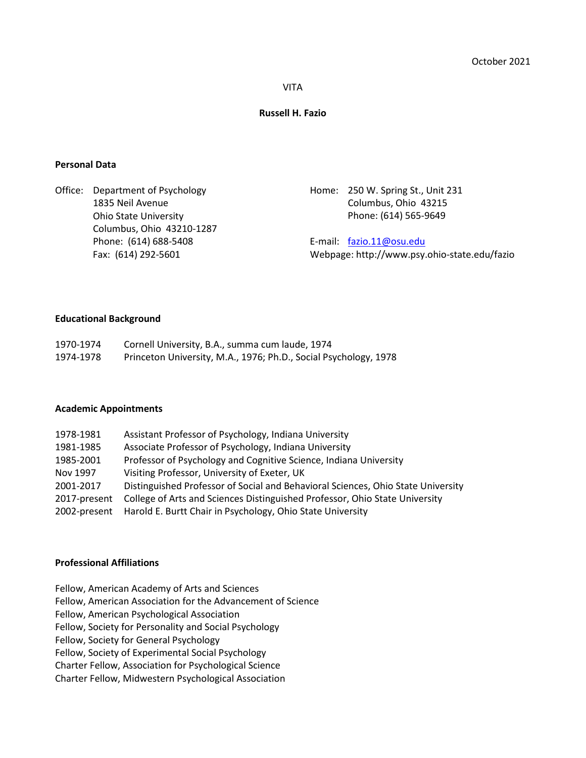### VITA

# **Russell H. Fazio**

## **Personal Data**

Office: Department of Psychology 1835 Neil Avenue Ohio State University Columbus, Ohio 43210-1287 Phone: (614) 688-5408 Fax: (614) 292-5601

Home: 250 W. Spring St., Unit 231 Columbus, Ohio 43215 Phone: (614) 565-9649

E-mail: [fazio.11@osu.edu](mailto:fazio.11@osu.edu) Webpage: http://www.psy.ohio-state.edu/fazio

## **Educational Background**

| 1970-1974 | Cornell University, B.A., summa cum laude, 1974                  |
|-----------|------------------------------------------------------------------|
| 1974-1978 | Princeton University, M.A., 1976; Ph.D., Social Psychology, 1978 |

#### **Academic Appointments**

| Assistant Professor of Psychology, Indiana University<br>1978-1981                            |  |
|-----------------------------------------------------------------------------------------------|--|
| Associate Professor of Psychology, Indiana University<br>1981-1985                            |  |
| Professor of Psychology and Cognitive Science, Indiana University<br>1985-2001                |  |
| Visiting Professor, University of Exeter, UK<br>Nov 1997                                      |  |
| Distinguished Professor of Social and Behavioral Sciences, Ohio State University<br>2001-2017 |  |
| College of Arts and Sciences Distinguished Professor, Ohio State University<br>2017-present   |  |
| Harold E. Burtt Chair in Psychology, Ohio State University<br>2002-present                    |  |

# **Professional Affiliations**

Fellow, American Academy of Arts and Sciences

Fellow, American Association for the Advancement of Science

Fellow, American Psychological Association

Fellow, Society for Personality and Social Psychology

Fellow, Society for General Psychology

Fellow, Society of Experimental Social Psychology

Charter Fellow, Association for Psychological Science

Charter Fellow, Midwestern Psychological Association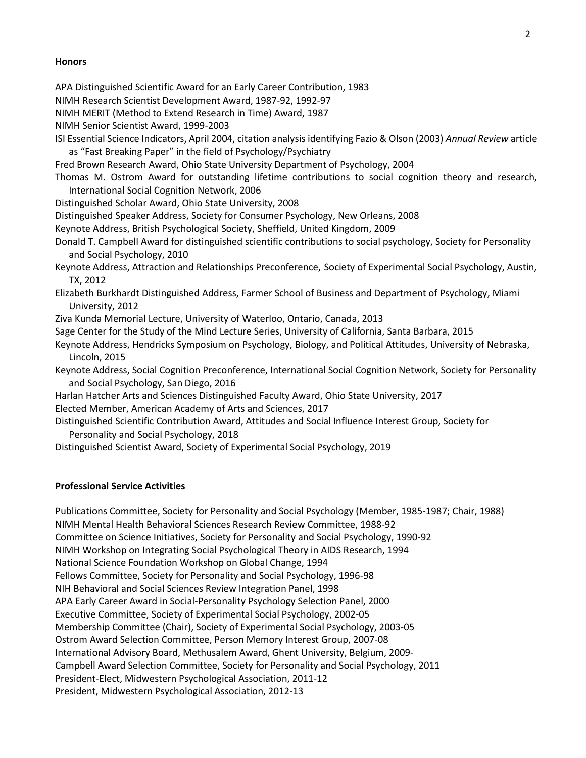## **Honors**

APA Distinguished Scientific Award for an Early Career Contribution, 1983

NIMH Research Scientist Development Award, 1987-92, 1992-97

NIMH MERIT (Method to Extend Research in Time) Award, 1987

NIMH Senior Scientist Award, 1999-2003

ISI Essential Science Indicators, April 2004, citation analysis identifying Fazio & Olson (2003) *Annual Review* article as "Fast Breaking Paper" in the field of Psychology/Psychiatry

Fred Brown Research Award, Ohio State University Department of Psychology, 2004

Thomas M. Ostrom Award for outstanding lifetime contributions to social cognition theory and research, International Social Cognition Network, 2006

Distinguished Scholar Award, Ohio State University, 2008

Distinguished Speaker Address, Society for Consumer Psychology, New Orleans, 2008

Keynote Address, British Psychological Society, Sheffield, United Kingdom, 2009

Donald T. Campbell Award for distinguished scientific contributions to social psychology, Society for Personality and Social Psychology, 2010

Keynote Address, Attraction and Relationships Preconference, Society of Experimental Social Psychology, Austin, TX, 2012

Elizabeth Burkhardt Distinguished Address, Farmer School of Business and Department of Psychology, Miami University, 2012

Ziva Kunda Memorial Lecture, University of Waterloo, Ontario, Canada, 2013

Sage Center for the Study of the Mind Lecture Series, University of California, Santa Barbara, 2015

- Keynote Address, Hendricks Symposium on Psychology, Biology, and Political Attitudes, University of Nebraska, Lincoln, 2015
- Keynote Address, Social Cognition Preconference, International Social Cognition Network, Society for Personality and Social Psychology, San Diego, 2016
- Harlan Hatcher Arts and Sciences Distinguished Faculty Award, Ohio State University, 2017

Elected Member, American Academy of Arts and Sciences, 2017

Distinguished Scientific Contribution Award, Attitudes and Social Influence Interest Group, Society for Personality and Social Psychology, 2018

Distinguished Scientist Award, Society of Experimental Social Psychology, 2019

## **Professional Service Activities**

Publications Committee, Society for Personality and Social Psychology (Member, 1985-1987; Chair, 1988) NIMH Mental Health Behavioral Sciences Research Review Committee, 1988-92 Committee on Science Initiatives, Society for Personality and Social Psychology, 1990-92 NIMH Workshop on Integrating Social Psychological Theory in AIDS Research, 1994 National Science Foundation Workshop on Global Change, 1994 Fellows Committee, Society for Personality and Social Psychology, 1996-98 NIH Behavioral and Social Sciences Review Integration Panel, 1998 APA Early Career Award in Social-Personality Psychology Selection Panel, 2000 Executive Committee, Society of Experimental Social Psychology, 2002-05 Membership Committee (Chair), Society of Experimental Social Psychology, 2003-05 Ostrom Award Selection Committee, Person Memory Interest Group, 2007-08 International Advisory Board, Methusalem Award, Ghent University, Belgium, 2009- Campbell Award Selection Committee, Society for Personality and Social Psychology, 2011 President-Elect, Midwestern Psychological Association, 2011-12 President, Midwestern Psychological Association, 2012-13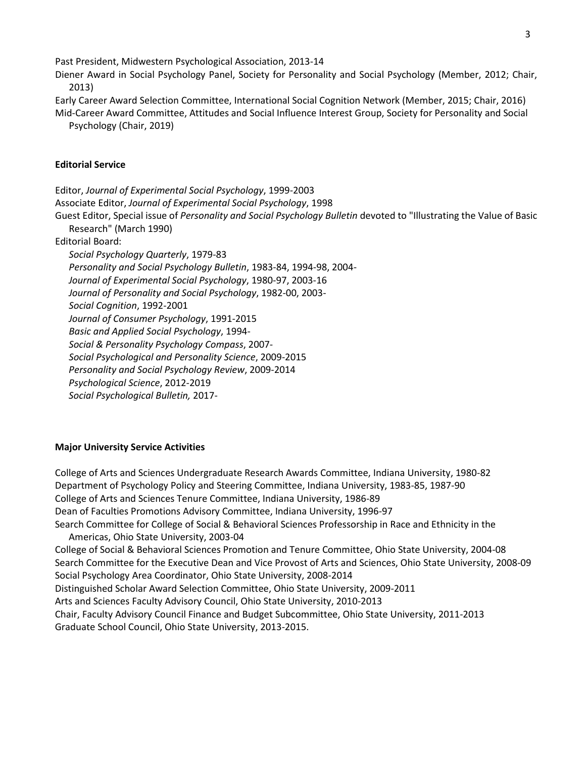Past President, Midwestern Psychological Association, 2013-14

Diener Award in Social Psychology Panel, Society for Personality and Social Psychology (Member, 2012; Chair, 2013)

Early Career Award Selection Committee, International Social Cognition Network (Member, 2015; Chair, 2016) Mid-Career Award Committee, Attitudes and Social Influence Interest Group, Society for Personality and Social Psychology (Chair, 2019)

# **Editorial Service**

Editor, *Journal of Experimental Social Psychology*, 1999-2003 Associate Editor, *Journal of Experimental Social Psychology*, 1998 Guest Editor, Special issue of *Personality and Social Psychology Bulletin* devoted to "Illustrating the Value of Basic Research" (March 1990) Editorial Board: *Social Psychology Quarterly*, 1979-83 *Personality and Social Psychology Bulletin*, 1983-84, 1994-98, 2004- *Journal of Experimental Social Psychology*, 1980-97, 2003-16 *Journal of Personality and Social Psychology*, 1982-00, 2003- *Social Cognition*, 1992-2001 *Journal of Consumer Psychology*, 1991-2015 *Basic and Applied Social Psychology*, 1994- *Social & Personality Psychology Compass*, 2007- *Social Psychological and Personality Science*, 2009-2015 *Personality and Social Psychology Review*, 2009-2014 *Psychological Science*, 2012-2019 *Social Psychological Bulletin,* 2017-

# **Major University Service Activities**

College of Arts and Sciences Undergraduate Research Awards Committee, Indiana University, 1980-82 Department of Psychology Policy and Steering Committee, Indiana University, 1983-85, 1987-90 College of Arts and Sciences Tenure Committee, Indiana University, 1986-89 Dean of Faculties Promotions Advisory Committee, Indiana University, 1996-97 Search Committee for College of Social & Behavioral Sciences Professorship in Race and Ethnicity in the Americas, Ohio State University, 2003-04 College of Social & Behavioral Sciences Promotion and Tenure Committee, Ohio State University, 2004-08 Search Committee for the Executive Dean and Vice Provost of Arts and Sciences, Ohio State University, 2008-09 Social Psychology Area Coordinator, Ohio State University, 2008-2014 Distinguished Scholar Award Selection Committee, Ohio State University, 2009-2011 Arts and Sciences Faculty Advisory Council, Ohio State University, 2010-2013 Chair, Faculty Advisory Council Finance and Budget Subcommittee, Ohio State University, 2011-2013 Graduate School Council, Ohio State University, 2013-2015.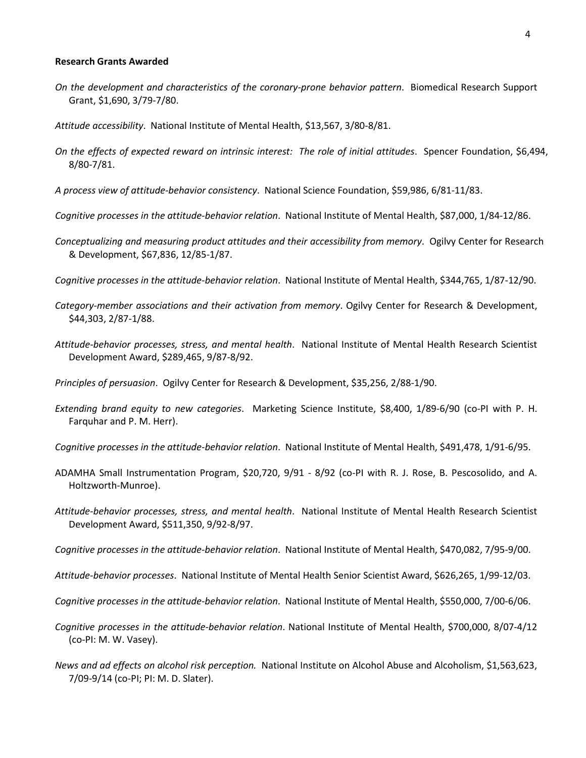#### **Research Grants Awarded**

*On the development and characteristics of the coronary-prone behavior pattern*. Biomedical Research Support Grant, \$1,690, 3/79-7/80.

*Attitude accessibility*. National Institute of Mental Health, \$13,567, 3/80-8/81.

- *On the effects of expected reward on intrinsic interest: The role of initial attitudes*. Spencer Foundation, \$6,494, 8/80-7/81.
- *A process view of attitude-behavior consistency*. National Science Foundation, \$59,986, 6/81-11/83.
- *Cognitive processes in the attitude-behavior relation*. National Institute of Mental Health, \$87,000, 1/84-12/86.
- *Conceptualizing and measuring product attitudes and their accessibility from memory*. Ogilvy Center for Research & Development, \$67,836, 12/85-1/87.
- *Cognitive processes in the attitude-behavior relation*. National Institute of Mental Health, \$344,765, 1/87-12/90.
- *Category-member associations and their activation from memory*. Ogilvy Center for Research & Development, \$44,303, 2/87-1/88.
- *Attitude-behavior processes, stress, and mental health*. National Institute of Mental Health Research Scientist Development Award, \$289,465, 9/87-8/92.

*Principles of persuasion*. Ogilvy Center for Research & Development, \$35,256, 2/88-1/90.

- *Extending brand equity to new categories*. Marketing Science Institute, \$8,400, 1/89-6/90 (co-PI with P. H. Farquhar and P. M. Herr).
- *Cognitive processes in the attitude-behavior relation*. National Institute of Mental Health, \$491,478, 1/91-6/95.
- ADAMHA Small Instrumentation Program, \$20,720, 9/91 8/92 (co-PI with R. J. Rose, B. Pescosolido, and A. Holtzworth-Munroe).
- *Attitude-behavior processes, stress, and mental health*. National Institute of Mental Health Research Scientist Development Award, \$511,350, 9/92-8/97.
- *Cognitive processes in the attitude-behavior relation*. National Institute of Mental Health, \$470,082, 7/95-9/00.
- *Attitude-behavior processes*. National Institute of Mental Health Senior Scientist Award, \$626,265, 1/99-12/03.
- *Cognitive processes in the attitude-behavior relation*. National Institute of Mental Health, \$550,000, 7/00-6/06.
- *Cognitive processes in the attitude-behavior relation*. National Institute of Mental Health, \$700,000, 8/07-4/12 (co-PI: M. W. Vasey).
- *News and ad effects on alcohol risk perception.* National Institute on Alcohol Abuse and Alcoholism, \$1,563,623, 7/09-9/14 (co-PI; PI: M. D. Slater).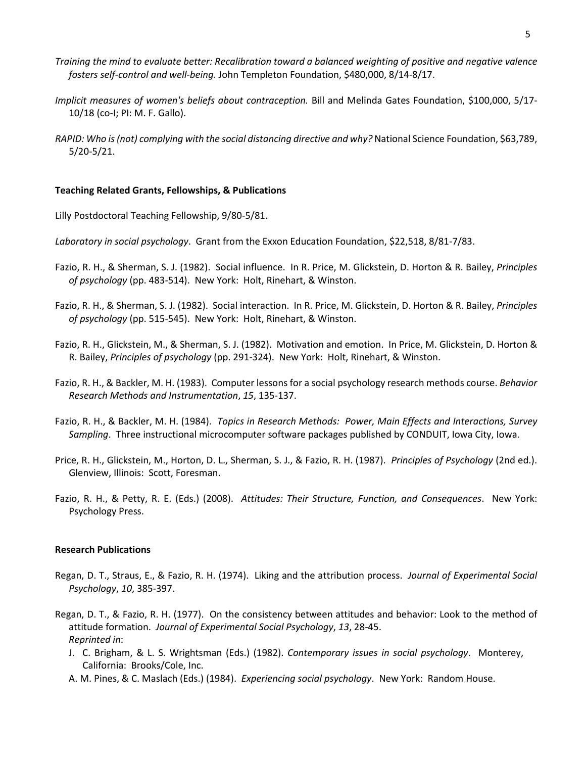- *Training the mind to evaluate better: Recalibration toward a balanced weighting of positive and negative valence fosters self-control and well-being.* John Templeton Foundation, \$480,000, 8/14-8/17.
- *Implicit measures of women's beliefs about contraception.* Bill and Melinda Gates Foundation, \$100,000, 5/17- 10/18 (co-I; PI: M. F. Gallo).
- *RAPID: Who is (not) complying with the social distancing directive and why?* National Science Foundation, \$63,789, 5/20-5/21.

### **Teaching Related Grants, Fellowships, & Publications**

Lilly Postdoctoral Teaching Fellowship, 9/80-5/81.

- *Laboratory in social psychology*. Grant from the Exxon Education Foundation, \$22,518, 8/81-7/83.
- Fazio, R. H., & Sherman, S. J. (1982). Social influence. In R. Price, M. Glickstein, D. Horton & R. Bailey, *Principles of psychology* (pp. 483-514). New York: Holt, Rinehart, & Winston.
- Fazio, R. H., & Sherman, S. J. (1982). Social interaction. In R. Price, M. Glickstein, D. Horton & R. Bailey, *Principles of psychology* (pp. 515-545). New York: Holt, Rinehart, & Winston.
- Fazio, R. H., Glickstein, M., & Sherman, S. J. (1982). Motivation and emotion. In Price, M. Glickstein, D. Horton & R. Bailey, *Principles of psychology* (pp. 291-324). New York: Holt, Rinehart, & Winston.
- Fazio, R. H., & Backler, M. H. (1983). Computer lessons for a social psychology research methods course. *Behavior Research Methods and Instrumentation*, *15*, 135-137.
- Fazio, R. H., & Backler, M. H. (1984). *Topics in Research Methods: Power, Main Effects and Interactions, Survey Sampling*. Three instructional microcomputer software packages published by CONDUIT, Iowa City, Iowa.
- Price, R. H., Glickstein, M., Horton, D. L., Sherman, S. J., & Fazio, R. H. (1987). *Principles of Psychology* (2nd ed.). Glenview, Illinois: Scott, Foresman.
- Fazio, R. H., & Petty, R. E. (Eds.) (2008). *Attitudes: Their Structure, Function, and Consequences*. New York: Psychology Press.

### **Research Publications**

- Regan, D. T., Straus, E., & Fazio, R. H. (1974). Liking and the attribution process. *Journal of Experimental Social Psychology*, *10*, 385-397.
- Regan, D. T., & Fazio, R. H. (1977). On the consistency between attitudes and behavior: Look to the method of attitude formation. *Journal of Experimental Social Psychology*, *13*, 28-45. *Reprinted in*:
	- J. C. Brigham, & L. S. Wrightsman (Eds.) (1982). *Contemporary issues in social psychology*. Monterey, California: Brooks/Cole, Inc.
	- A. M. Pines, & C. Maslach (Eds.) (1984). *Experiencing social psychology*. New York: Random House.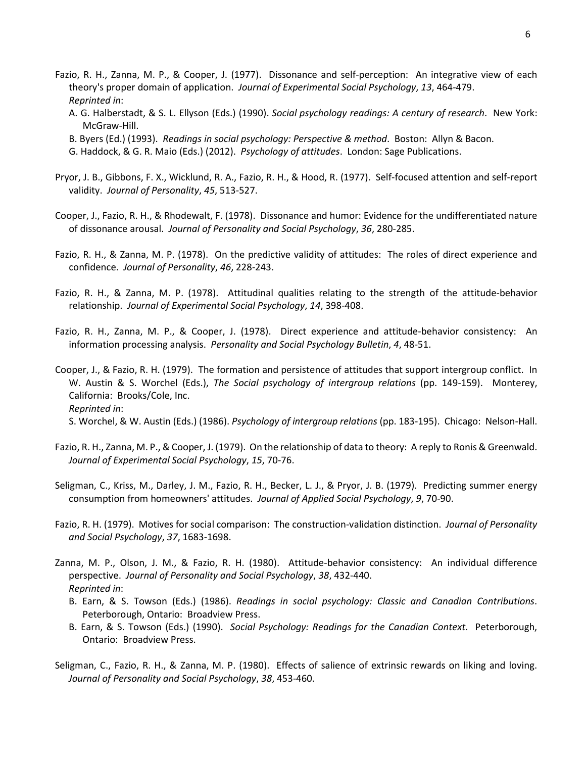- Fazio, R. H., Zanna, M. P., & Cooper, J. (1977). Dissonance and self-perception: An integrative view of each theory's proper domain of application. *Journal of Experimental Social Psychology*, *13*, 464-479. *Reprinted in*:
	- A. G. Halberstadt, & S. L. Ellyson (Eds.) (1990). *Social psychology readings: A century of research*. New York: McGraw-Hill.
	- B. Byers (Ed.) (1993). *Readings in social psychology: Perspective & method*. Boston: Allyn & Bacon.
	- G. Haddock, & G. R. Maio (Eds.) (2012). *Psychology of attitudes*. London: Sage Publications.
- Pryor, J. B., Gibbons, F. X., Wicklund, R. A., Fazio, R. H., & Hood, R. (1977). Self-focused attention and self-report validity. *Journal of Personality*, *45*, 513-527.
- Cooper, J., Fazio, R. H., & Rhodewalt, F. (1978). Dissonance and humor: Evidence for the undifferentiated nature of dissonance arousal. *Journal of Personality and Social Psychology*, *36*, 280-285.
- Fazio, R. H., & Zanna, M. P. (1978). On the predictive validity of attitudes: The roles of direct experience and confidence. *Journal of Personality*, *46*, 228-243.
- Fazio, R. H., & Zanna, M. P. (1978). Attitudinal qualities relating to the strength of the attitude-behavior relationship. *Journal of Experimental Social Psychology*, *14*, 398-408.
- Fazio, R. H., Zanna, M. P., & Cooper, J. (1978). Direct experience and attitude-behavior consistency: An information processing analysis. *Personality and Social Psychology Bulletin*, *4*, 48-51.
- Cooper, J., & Fazio, R. H. (1979). The formation and persistence of attitudes that support intergroup conflict. In W. Austin & S. Worchel (Eds.), *The Social psychology of intergroup relations* (pp. 149-159). Monterey, California: Brooks/Cole, Inc. *Reprinted in*: S. Worchel, & W. Austin (Eds.) (1986). *Psychology of intergroup relations* (pp. 183-195). Chicago: Nelson-Hall.
- Fazio, R. H., Zanna, M. P., & Cooper, J. (1979). On the relationship of data to theory: A reply to Ronis & Greenwald. *Journal of Experimental Social Psychology*, *15*, 70-76.
- Seligman, C., Kriss, M., Darley, J. M., Fazio, R. H., Becker, L. J., & Pryor, J. B. (1979). Predicting summer energy consumption from homeowners' attitudes. *Journal of Applied Social Psychology*, *9*, 70-90.
- Fazio, R. H. (1979). Motives for social comparison: The construction-validation distinction. *Journal of Personality and Social Psychology*, *37*, 1683-1698.
- Zanna, M. P., Olson, J. M., & Fazio, R. H. (1980). Attitude-behavior consistency: An individual difference perspective. *Journal of Personality and Social Psychology*, *38*, 432-440. *Reprinted in*:
	- B. Earn, & S. Towson (Eds.) (1986). *Readings in social psychology: Classic and Canadian Contributions*. Peterborough, Ontario: Broadview Press.
	- B. Earn, & S. Towson (Eds.) (1990). *Social Psychology: Readings for the Canadian Context*. Peterborough, Ontario: Broadview Press.
- Seligman, C., Fazio, R. H., & Zanna, M. P. (1980). Effects of salience of extrinsic rewards on liking and loving. *Journal of Personality and Social Psychology*, *38*, 453-460.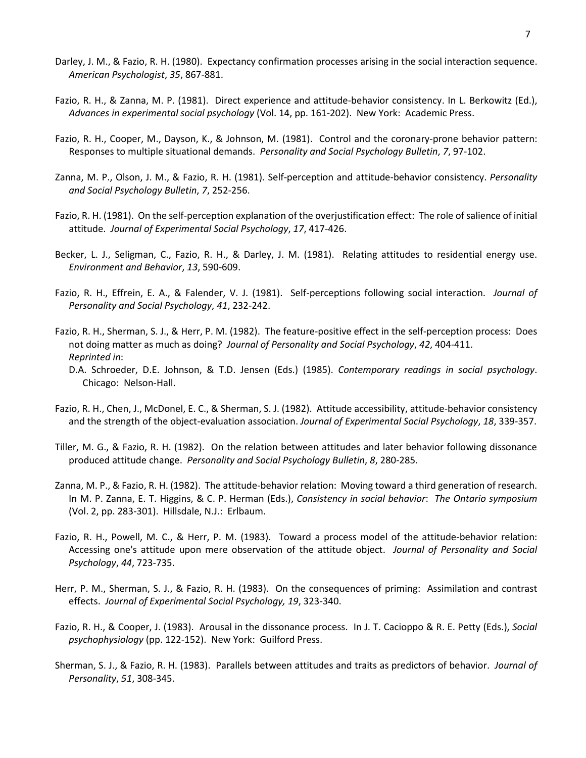- Darley, J. M., & Fazio, R. H. (1980). Expectancy confirmation processes arising in the social interaction sequence. *American Psychologist*, *35*, 867-881.
- Fazio, R. H., & Zanna, M. P. (1981). Direct experience and attitude-behavior consistency. In L. Berkowitz (Ed.), *Advances in experimental social psychology* (Vol. 14, pp. 161-202). New York: Academic Press.
- Fazio, R. H., Cooper, M., Dayson, K., & Johnson, M. (1981). Control and the coronary-prone behavior pattern: Responses to multiple situational demands. *Personality and Social Psychology Bulletin*, *7*, 97-102.
- Zanna, M. P., Olson, J. M., & Fazio, R. H. (1981). Self-perception and attitude-behavior consistency. *Personality and Social Psychology Bulletin*, *7*, 252-256.
- Fazio, R. H. (1981). On the self-perception explanation of the overjustification effect: The role of salience of initial attitude. *Journal of Experimental Social Psychology*, *17*, 417-426.
- Becker, L. J., Seligman, C., Fazio, R. H., & Darley, J. M. (1981). Relating attitudes to residential energy use. *Environment and Behavior*, *13*, 590-609.
- Fazio, R. H., Effrein, E. A., & Falender, V. J. (1981). Self-perceptions following social interaction. *Journal of Personality and Social Psychology*, *41*, 232-242.
- Fazio, R. H., Sherman, S. J., & Herr, P. M. (1982). The feature-positive effect in the self-perception process: Does not doing matter as much as doing? *Journal of Personality and Social Psychology*, *42*, 404-411. *Reprinted in*:
	- D.A. Schroeder, D.E. Johnson, & T.D. Jensen (Eds.) (1985). *Contemporary readings in social psychology*. Chicago: Nelson-Hall.
- Fazio, R. H., Chen, J., McDonel, E. C., & Sherman, S. J. (1982). Attitude accessibility, attitude-behavior consistency and the strength of the object-evaluation association. *Journal of Experimental Social Psychology*, *18*, 339-357.
- Tiller, M. G., & Fazio, R. H. (1982). On the relation between attitudes and later behavior following dissonance produced attitude change. *Personality and Social Psychology Bulletin*, *8*, 280-285.
- Zanna, M. P., & Fazio, R. H. (1982). The attitude-behavior relation: Moving toward a third generation of research. In M. P. Zanna, E. T. Higgins, & C. P. Herman (Eds.), *Consistency in social behavior*: *The Ontario symposium* (Vol. 2, pp. 283-301). Hillsdale, N.J.: Erlbaum.
- Fazio, R. H., Powell, M. C., & Herr, P. M. (1983). Toward a process model of the attitude-behavior relation: Accessing one's attitude upon mere observation of the attitude object. *Journal of Personality and Social Psychology*, *44*, 723-735.
- Herr, P. M., Sherman, S. J., & Fazio, R. H. (1983). On the consequences of priming: Assimilation and contrast effects. *Journal of Experimental Social Psychology, 19*, 323-340.
- Fazio, R. H., & Cooper, J. (1983). Arousal in the dissonance process. In J. T. Cacioppo & R. E. Petty (Eds.), *Social psychophysiology* (pp. 122-152). New York: Guilford Press.
- Sherman, S. J., & Fazio, R. H. (1983). Parallels between attitudes and traits as predictors of behavior. *Journal of Personality*, *51*, 308-345.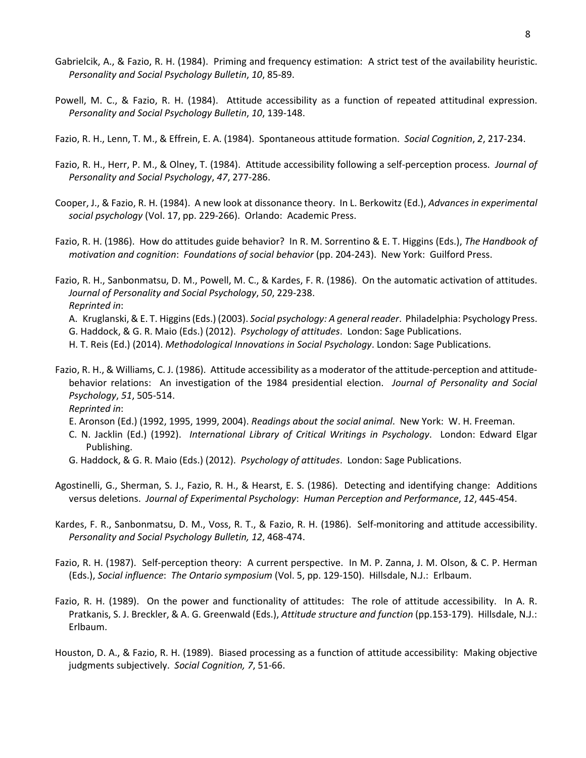- Gabrielcik, A., & Fazio, R. H. (1984). Priming and frequency estimation: A strict test of the availability heuristic. *Personality and Social Psychology Bulletin*, *10*, 85-89.
- Powell, M. C., & Fazio, R. H. (1984). Attitude accessibility as a function of repeated attitudinal expression. *Personality and Social Psychology Bulletin*, *10*, 139-148.
- Fazio, R. H., Lenn, T. M., & Effrein, E. A. (1984). Spontaneous attitude formation. *Social Cognition*, *2*, 217-234.
- Fazio, R. H., Herr, P. M., & Olney, T. (1984). Attitude accessibility following a self-perception process. *Journal of Personality and Social Psychology*, *47*, 277-286.
- Cooper, J., & Fazio, R. H. (1984). A new look at dissonance theory. In L. Berkowitz (Ed.), *Advances in experimental social psychology* (Vol. 17, pp. 229-266). Orlando: Academic Press.
- Fazio, R. H. (1986). How do attitudes guide behavior? In R. M. Sorrentino & E. T. Higgins (Eds.), *The Handbook of motivation and cognition*: *Foundations of social behavior* (pp. 204-243). New York: Guilford Press.

Fazio, R. H., Sanbonmatsu, D. M., Powell, M. C., & Kardes, F. R. (1986). On the automatic activation of attitudes. *Journal of Personality and Social Psychology*, *50*, 229-238. *Reprinted in*: A. Kruglanski, & E. T. Higgins (Eds.) (2003). *Social psychology: A general reader*. Philadelphia: Psychology Press.

- G. Haddock, & G. R. Maio (Eds.) (2012). *Psychology of attitudes*. London: Sage Publications.
- H. T. Reis (Ed.) (2014). *Methodological Innovations in Social Psychology*. London: Sage Publications.
- Fazio, R. H., & Williams, C. J. (1986). Attitude accessibility as a moderator of the attitude-perception and attitudebehavior relations: An investigation of the 1984 presidential election. *Journal of Personality and Social Psychology*, *51*, 505-514.

*Reprinted in*:

- E. Aronson (Ed.) (1992, 1995, 1999, 2004). *Readings about the social animal*. New York: W. H. Freeman.
- C. N. Jacklin (Ed.) (1992). *International Library of Critical Writings in Psychology*. London: Edward Elgar Publishing.
- G. Haddock, & G. R. Maio (Eds.) (2012). *Psychology of attitudes*. London: Sage Publications.
- Agostinelli, G., Sherman, S. J., Fazio, R. H., & Hearst, E. S. (1986). Detecting and identifying change: Additions versus deletions. *Journal of Experimental Psychology*: *Human Perception and Performance*, *12*, 445-454.
- Kardes, F. R., Sanbonmatsu, D. M., Voss, R. T., & Fazio, R. H. (1986). Self-monitoring and attitude accessibility. *Personality and Social Psychology Bulletin, 12*, 468-474.
- Fazio, R. H. (1987). Self-perception theory: A current perspective. In M. P. Zanna, J. M. Olson, & C. P. Herman (Eds.), *Social influence*: *The Ontario symposium* (Vol. 5, pp. 129-150). Hillsdale, N.J.: Erlbaum.
- Fazio, R. H. (1989). On the power and functionality of attitudes: The role of attitude accessibility. In A. R. Pratkanis, S. J. Breckler, & A. G. Greenwald (Eds.), *Attitude structure and function* (pp.153-179). Hillsdale, N.J.: Erlbaum.
- Houston, D. A., & Fazio, R. H. (1989). Biased processing as a function of attitude accessibility: Making objective judgments subjectively. *Social Cognition, 7*, 51-66.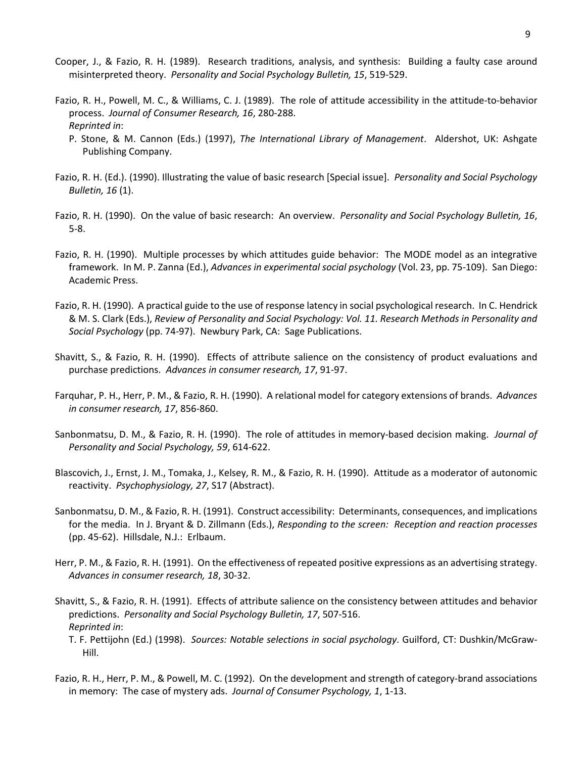- Cooper, J., & Fazio, R. H. (1989). Research traditions, analysis, and synthesis: Building a faulty case around misinterpreted theory. *Personality and Social Psychology Bulletin, 15*, 519-529.
- Fazio, R. H., Powell, M. C., & Williams, C. J. (1989). The role of attitude accessibility in the attitude-to-behavior process. *Journal of Consumer Research, 16*, 280-288. *Reprinted in*:
	- P. Stone, & M. Cannon (Eds.) (1997), *The International Library of Management*. Aldershot, UK: Ashgate Publishing Company.
- Fazio, R. H. (Ed.). (1990). Illustrating the value of basic research [Special issue]. *Personality and Social Psychology Bulletin, 16* (1).
- Fazio, R. H. (1990). On the value of basic research: An overview. *Personality and Social Psychology Bulletin, 16*, 5-8.
- Fazio, R. H. (1990). Multiple processes by which attitudes guide behavior: The MODE model as an integrative framework. In M. P. Zanna (Ed.), *Advances in experimental social psychology* (Vol. 23, pp. 75-109). San Diego: Academic Press.
- Fazio, R. H. (1990). A practical guide to the use of response latency in social psychological research. In C. Hendrick & M. S. Clark (Eds.), *Review of Personality and Social Psychology: Vol. 11. Research Methods in Personality and Social Psychology* (pp. 74-97). Newbury Park, CA: Sage Publications.
- Shavitt, S., & Fazio, R. H. (1990). Effects of attribute salience on the consistency of product evaluations and purchase predictions. *Advances in consumer research, 17*, 91-97.
- Farquhar, P. H., Herr, P. M., & Fazio, R. H. (1990). A relational model for category extensions of brands. *Advances in consumer research, 17*, 856-860.
- Sanbonmatsu, D. M., & Fazio, R. H. (1990). The role of attitudes in memory-based decision making. *Journal of Personality and Social Psychology, 59*, 614-622.
- Blascovich, J., Ernst, J. M., Tomaka, J., Kelsey, R. M., & Fazio, R. H. (1990). Attitude as a moderator of autonomic reactivity. *Psychophysiology, 27*, S17 (Abstract).
- Sanbonmatsu, D. M., & Fazio, R. H. (1991). Construct accessibility: Determinants, consequences, and implications for the media. In J. Bryant & D. Zillmann (Eds.), *Responding to the screen: Reception and reaction processes* (pp. 45-62). Hillsdale, N.J.: Erlbaum.
- Herr, P. M., & Fazio, R. H. (1991). On the effectiveness of repeated positive expressions as an advertising strategy. *Advances in consumer research, 18*, 30-32.
- Shavitt, S., & Fazio, R. H. (1991). Effects of attribute salience on the consistency between attitudes and behavior predictions. *Personality and Social Psychology Bulletin, 17*, 507-516. *Reprinted in*:
	- T. F. Pettijohn (Ed.) (1998). *Sources: Notable selections in social psychology*. Guilford, CT: Dushkin/McGraw-Hill.
- Fazio, R. H., Herr, P. M., & Powell, M. C. (1992). On the development and strength of category-brand associations in memory: The case of mystery ads. *Journal of Consumer Psychology, 1*, 1-13.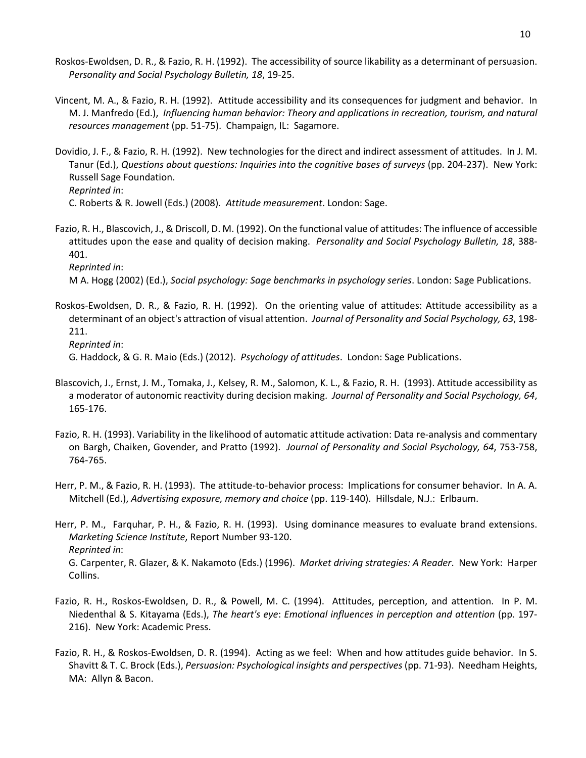- Roskos-Ewoldsen, D. R., & Fazio, R. H. (1992). The accessibility of source likability as a determinant of persuasion. *Personality and Social Psychology Bulletin, 18*, 19-25.
- Vincent, M. A., & Fazio, R. H. (1992). Attitude accessibility and its consequences for judgment and behavior. In M. J. Manfredo (Ed.), *Influencing human behavior: Theory and applications in recreation, tourism, and natural resources management* (pp. 51-75). Champaign, IL: Sagamore.
- Dovidio, J. F., & Fazio, R. H. (1992). New technologies for the direct and indirect assessment of attitudes. In J. M. Tanur (Ed.), *Questions about questions: Inquiries into the cognitive bases of surveys* (pp. 204-237). New York: Russell Sage Foundation.

*Reprinted in*:

C. Roberts & R. Jowell (Eds.) (2008). *Attitude measurement*. London: Sage.

Fazio, R. H., Blascovich, J., & Driscoll, D. M. (1992). On the functional value of attitudes: The influence of accessible attitudes upon the ease and quality of decision making. *Personality and Social Psychology Bulletin, 18*, 388- 401. *Reprinted in*:

M A. Hogg (2002) (Ed.), *Social psychology: Sage benchmarks in psychology series*. London: Sage Publications.

Roskos-Ewoldsen, D. R., & Fazio, R. H. (1992). On the orienting value of attitudes: Attitude accessibility as a determinant of an object's attraction of visual attention. *Journal of Personality and Social Psychology, 63*, 198- 211. *Reprinted in*:

G. Haddock, & G. R. Maio (Eds.) (2012). *Psychology of attitudes*. London: Sage Publications.

- Blascovich, J., Ernst, J. M., Tomaka, J., Kelsey, R. M., Salomon, K. L., & Fazio, R. H. (1993). Attitude accessibility as a moderator of autonomic reactivity during decision making. *Journal of Personality and Social Psychology, 64*, 165-176.
- Fazio, R. H. (1993). Variability in the likelihood of automatic attitude activation: Data re-analysis and commentary on Bargh, Chaiken, Govender, and Pratto (1992). *Journal of Personality and Social Psychology, 64*, 753-758, 764-765.
- Herr, P. M., & Fazio, R. H. (1993). The attitude-to-behavior process: Implications for consumer behavior. In A. A. Mitchell (Ed.), *Advertising exposure, memory and choice* (pp. 119-140). Hillsdale, N.J.: Erlbaum.

Herr, P. M., Farquhar, P. H., & Fazio, R. H. (1993). Using dominance measures to evaluate brand extensions. *Marketing Science Institute*, Report Number 93-120. *Reprinted in*: G. Carpenter, R. Glazer, & K. Nakamoto (Eds.) (1996). *Market driving strategies: A Reader*. New York: Harper Collins.

- Fazio, R. H., Roskos-Ewoldsen, D. R., & Powell, M. C. (1994). Attitudes, perception, and attention. In P. M. Niedenthal & S. Kitayama (Eds.), *The heart's eye*: *Emotional influences in perception and attention* (pp. 197- 216). New York: Academic Press.
- Fazio, R. H., & Roskos-Ewoldsen, D. R. (1994). Acting as we feel: When and how attitudes guide behavior. In S. Shavitt & T. C. Brock (Eds.), *Persuasion: Psychological insights and perspectives* (pp. 71-93). Needham Heights, MA: Allyn & Bacon.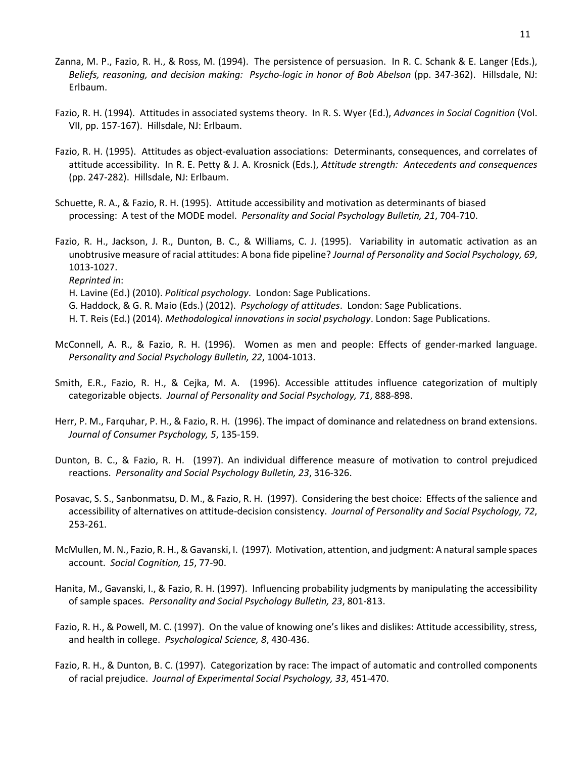- Zanna, M. P., Fazio, R. H., & Ross, M. (1994). The persistence of persuasion. In R. C. Schank & E. Langer (Eds.), *Beliefs, reasoning, and decision making: Psycho-logic in honor of Bob Abelson* (pp. 347-362). Hillsdale, NJ: Erlbaum.
- Fazio, R. H. (1994). Attitudes in associated systems theory. In R. S. Wyer (Ed.), *Advances in Social Cognition* (Vol. VII, pp. 157-167). Hillsdale, NJ: Erlbaum.
- Fazio, R. H. (1995). Attitudes as object-evaluation associations: Determinants, consequences, and correlates of attitude accessibility. In R. E. Petty & J. A. Krosnick (Eds.), *Attitude strength: Antecedents and consequences* (pp. 247-282). Hillsdale, NJ: Erlbaum.
- Schuette, R. A., & Fazio, R. H. (1995). Attitude accessibility and motivation as determinants of biased processing: A test of the MODE model. *Personality and Social Psychology Bulletin, 21*, 704-710.
- Fazio, R. H., Jackson, J. R., Dunton, B. C., & Williams, C. J. (1995). Variability in automatic activation as an unobtrusive measure of racial attitudes: A bona fide pipeline? *Journal of Personality and Social Psychology, 69*, 1013-1027. *Reprinted in*:
	- H. Lavine (Ed.) (2010). *Political psychology*. London: Sage Publications.
	- G. Haddock, & G. R. Maio (Eds.) (2012). *Psychology of attitudes*. London: Sage Publications.
	- H. T. Reis (Ed.) (2014). *Methodological innovations in social psychology*. London: Sage Publications.
- McConnell, A. R., & Fazio, R. H. (1996). Women as men and people: Effects of gender-marked language. *Personality and Social Psychology Bulletin, 22*, 1004-1013.
- Smith, E.R., Fazio, R. H., & Cejka, M. A. (1996). Accessible attitudes influence categorization of multiply categorizable objects. *Journal of Personality and Social Psychology, 71*, 888-898.
- Herr, P. M., Farquhar, P. H., & Fazio, R. H. (1996). The impact of dominance and relatedness on brand extensions. *Journal of Consumer Psychology, 5*, 135-159.
- Dunton, B. C., & Fazio, R. H. (1997). An individual difference measure of motivation to control prejudiced reactions. *Personality and Social Psychology Bulletin, 23*, 316-326.
- Posavac, S. S., Sanbonmatsu, D. M., & Fazio, R. H. (1997). Considering the best choice: Effects of the salience and accessibility of alternatives on attitude-decision consistency. *Journal of Personality and Social Psychology, 72*, 253-261.
- McMullen, M. N., Fazio, R. H., & Gavanski, I. (1997). Motivation, attention, and judgment: A natural sample spaces account. *Social Cognition, 15*, 77-90.
- Hanita, M., Gavanski, I., & Fazio, R. H. (1997). Influencing probability judgments by manipulating the accessibility of sample spaces. *Personality and Social Psychology Bulletin, 23*, 801-813.
- Fazio, R. H., & Powell, M. C. (1997). On the value of knowing one's likes and dislikes: Attitude accessibility, stress, and health in college. *Psychological Science, 8*, 430-436.
- Fazio, R. H., & Dunton, B. C. (1997). Categorization by race: The impact of automatic and controlled components of racial prejudice. *Journal of Experimental Social Psychology, 33*, 451-470.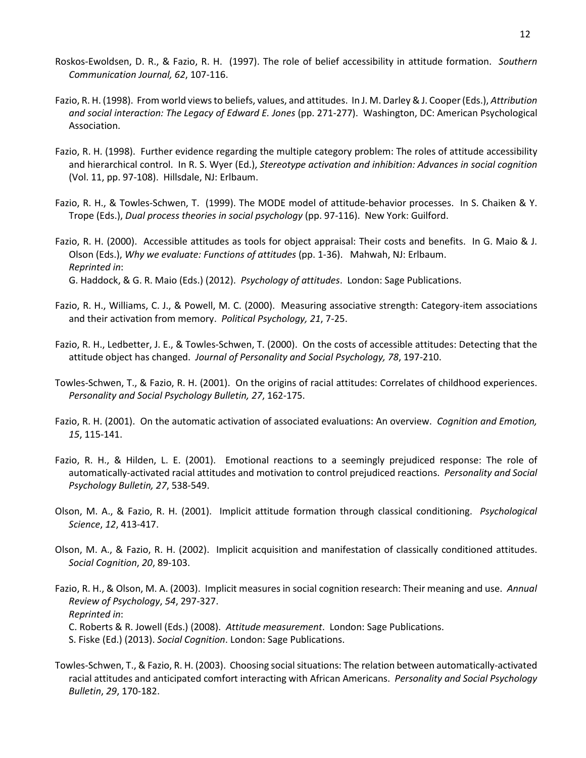- Roskos-Ewoldsen, D. R., & Fazio, R. H. (1997). The role of belief accessibility in attitude formation. *Southern Communication Journal, 62*, 107-116.
- Fazio, R. H. (1998). From world views to beliefs, values, and attitudes. In J. M. Darley & J. Cooper (Eds.), *Attribution and social interaction: The Legacy of Edward E. Jones* (pp. 271-277). Washington, DC: American Psychological Association.
- Fazio, R. H. (1998). Further evidence regarding the multiple category problem: The roles of attitude accessibility and hierarchical control. In R. S. Wyer (Ed.), *Stereotype activation and inhibition: Advances in social cognition* (Vol. 11, pp. 97-108). Hillsdale, NJ: Erlbaum.
- Fazio, R. H., & Towles-Schwen, T. (1999). The MODE model of attitude-behavior processes. In S. Chaiken & Y. Trope (Eds.), *Dual process theories in social psychology* (pp. 97-116). New York: Guilford.
- Fazio, R. H. (2000). Accessible attitudes as tools for object appraisal: Their costs and benefits. In G. Maio & J. Olson (Eds.), *Why we evaluate: Functions of attitudes* (pp. 1-36). Mahwah, NJ: Erlbaum. *Reprinted in*: G. Haddock, & G. R. Maio (Eds.) (2012). *Psychology of attitudes*. London: Sage Publications.
- Fazio, R. H., Williams, C. J., & Powell, M. C. (2000). Measuring associative strength: Category-item associations and their activation from memory. *Political Psychology, 21*, 7-25.
- Fazio, R. H., Ledbetter, J. E., & Towles-Schwen, T. (2000). On the costs of accessible attitudes: Detecting that the attitude object has changed. *Journal of Personality and Social Psychology, 78*, 197-210.
- Towles-Schwen, T., & Fazio, R. H. (2001). On the origins of racial attitudes: Correlates of childhood experiences. *Personality and Social Psychology Bulletin, 27*, 162-175.
- Fazio, R. H. (2001). On the automatic activation of associated evaluations: An overview. *Cognition and Emotion, 15*, 115-141.
- Fazio, R. H., & Hilden, L. E. (2001). Emotional reactions to a seemingly prejudiced response: The role of automatically-activated racial attitudes and motivation to control prejudiced reactions. *Personality and Social Psychology Bulletin, 27*, 538-549.
- Olson, M. A., & Fazio, R. H. (2001). Implicit attitude formation through classical conditioning. *Psychological Science*, *12*, 413-417.
- Olson, M. A., & Fazio, R. H. (2002). Implicit acquisition and manifestation of classically conditioned attitudes. *Social Cognition*, *20*, 89-103.
- Fazio, R. H., & Olson, M. A. (2003). Implicit measures in social cognition research: Their meaning and use. *Annual Review of Psychology*, *54*, 297-327. *Reprinted in*: C. Roberts & R. Jowell (Eds.) (2008). *Attitude measurement*. London: Sage Publications. S. Fiske (Ed.) (2013). *Social Cognition*. London: Sage Publications.
- Towles-Schwen, T., & Fazio, R. H. (2003). Choosing social situations: The relation between automatically-activated racial attitudes and anticipated comfort interacting with African Americans. *Personality and Social Psychology Bulletin*, *29*, 170-182.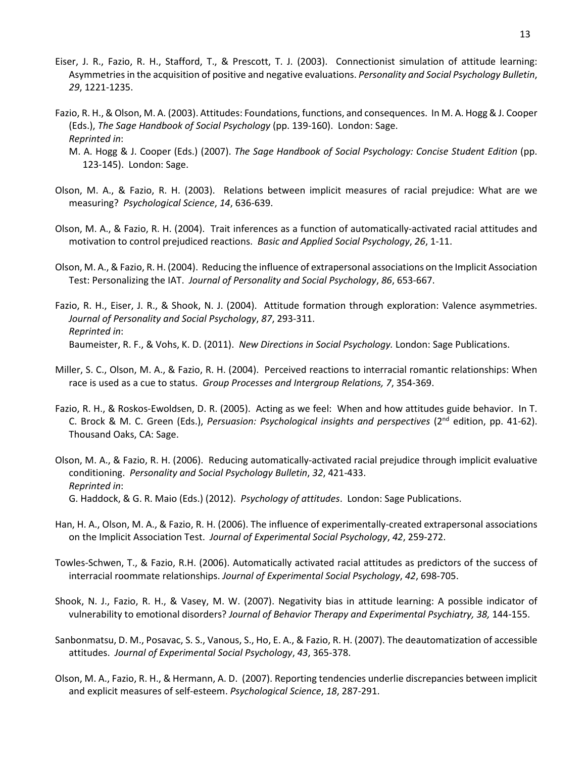- Eiser, J. R., Fazio, R. H., Stafford, T., & Prescott, T. J. (2003). Connectionist simulation of attitude learning: Asymmetries in the acquisition of positive and negative evaluations. *Personality and Social Psychology Bulletin*, *29*, 1221-1235.
- Fazio, R. H., & Olson, M. A. (2003). Attitudes: Foundations, functions, and consequences. In M. A. Hogg & J. Cooper (Eds.), *The Sage Handbook of Social Psychology* (pp. 139-160). London: Sage. *Reprinted in*:
	- M. A. Hogg & J. Cooper (Eds.) (2007). *The Sage Handbook of Social Psychology: Concise Student Edition* (pp. 123-145). London: Sage.
- Olson, M. A., & Fazio, R. H. (2003). Relations between implicit measures of racial prejudice: What are we measuring? *Psychological Science*, *14*, 636-639.
- Olson, M. A., & Fazio, R. H. (2004). Trait inferences as a function of automatically-activated racial attitudes and motivation to control prejudiced reactions. *Basic and Applied Social Psychology*, *26*, 1-11.
- Olson, M. A., & Fazio, R. H. (2004). Reducing the influence of extrapersonal associations on the Implicit Association Test: Personalizing the IAT. *Journal of Personality and Social Psychology*, *86*, 653-667.
- Fazio, R. H., Eiser, J. R., & Shook, N. J. (2004). Attitude formation through exploration: Valence asymmetries. *Journal of Personality and Social Psychology*, *87*, 293-311. *Reprinted in*: Baumeister, R. F., & Vohs, K. D. (2011). *New Directions in Social Psychology.* London: Sage Publications.
- Miller, S. C., Olson, M. A., & Fazio, R. H. (2004). Perceived reactions to interracial romantic relationships: When race is used as a cue to status. *Group Processes and Intergroup Relations, 7*, 354-369.
- Fazio, R. H., & Roskos-Ewoldsen, D. R. (2005). Acting as we feel: When and how attitudes guide behavior. In T. C. Brock & M. C. Green (Eds.), *Persuasion: Psychological insights and perspectives* (2nd edition, pp. 41-62). Thousand Oaks, CA: Sage.
- Olson, M. A., & Fazio, R. H. (2006). Reducing automatically-activated racial prejudice through implicit evaluative conditioning. *Personality and Social Psychology Bulletin*, *32*, 421-433. *Reprinted in*: G. Haddock, & G. R. Maio (Eds.) (2012). *Psychology of attitudes*. London: Sage Publications.
- Han, H. A., Olson, M. A., & Fazio, R. H. (2006). The influence of experimentally-created extrapersonal associations on the Implicit Association Test. *Journal of Experimental Social Psychology*, *42*, 259-272.
- Towles-Schwen, T., & Fazio, R.H. (2006). Automatically activated racial attitudes as predictors of the success of interracial roommate relationships. *Journal of Experimental Social Psychology*, *42*, 698-705.
- Shook, N. J., Fazio, R. H., & Vasey, M. W. (2007). Negativity bias in attitude learning: A possible indicator of vulnerability to emotional disorders? *Journal of Behavior Therapy and Experimental Psychiatry, 38,* 144-155.
- Sanbonmatsu, D. M., Posavac, S. S., Vanous, S., Ho, E. A., & Fazio, R. H. (2007). The deautomatization of accessible attitudes. *Journal of Experimental Social Psychology*, *43*, 365-378.
- Olson, M. A., Fazio, R. H., & Hermann, A. D. (2007). Reporting tendencies underlie discrepancies between implicit and explicit measures of self-esteem. *Psychological Science*, *18*, 287-291.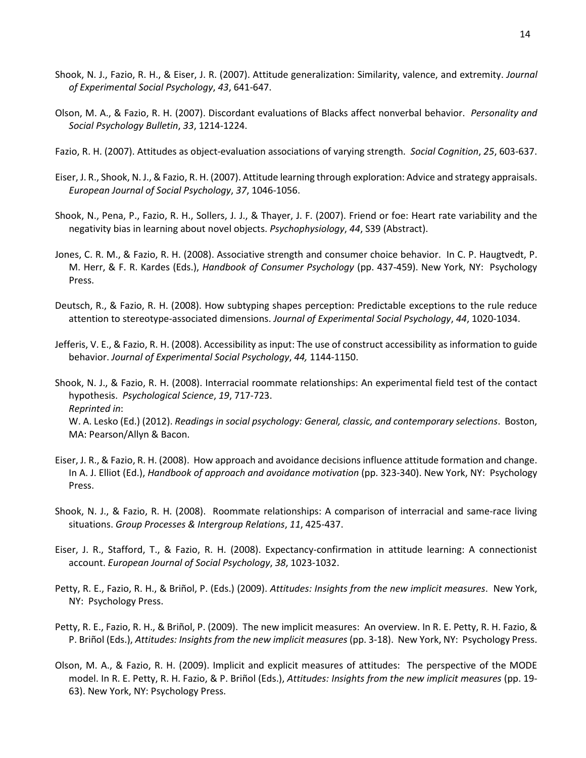- Shook, N. J., Fazio, R. H., & Eiser, J. R. (2007). Attitude generalization: Similarity, valence, and extremity. *Journal of Experimental Social Psychology*, *43*, 641-647.
- Olson, M. A., & Fazio, R. H. (2007). Discordant evaluations of Blacks affect nonverbal behavior. *Personality and Social Psychology Bulletin*, *33*, 1214-1224.
- Fazio, R. H. (2007). Attitudes as object-evaluation associations of varying strength. *Social Cognition*, *25*, 603-637.
- Eiser, J. R., Shook, N. J., & Fazio, R. H. (2007). Attitude learning through exploration: Advice and strategy appraisals. *European Journal of Social Psychology*, *37*, 1046-1056.
- Shook, N., Pena, P., Fazio, R. H., Sollers, J. J., & Thayer, J. F. (2007). Friend or foe: Heart rate variability and the negativity bias in learning about novel objects. *Psychophysiology*, *44*, S39 (Abstract).
- Jones, C. R. M., & Fazio, R. H. (2008). Associative strength and consumer choice behavior. In C. P. Haugtvedt, P. M. Herr, & F. R. Kardes (Eds.), *Handbook of Consumer Psychology* (pp. 437-459). New York, NY: Psychology Press.
- Deutsch, R., & Fazio, R. H. (2008). How subtyping shapes perception: Predictable exceptions to the rule reduce attention to stereotype-associated dimensions. *Journal of Experimental Social Psychology*, *44*, 1020-1034.
- Jefferis, V. E., & Fazio, R. H. (2008). Accessibility as input: The use of construct accessibility as information to guide behavior. *Journal of Experimental Social Psychology*, *44,* 1144-1150.
- Shook, N. J., & Fazio, R. H. (2008). Interracial roommate relationships: An experimental field test of the contact hypothesis. *Psychological Science*, *19*, 717-723. *Reprinted in*: W. A. Lesko (Ed.) (2012). *Readings in social psychology: General, classic, and contemporary selections*. Boston, MA: Pearson/Allyn & Bacon.
- Eiser, J. R., & Fazio, R. H. (2008). How approach and avoidance decisions influence attitude formation and change. In A. J. Elliot (Ed.), *Handbook of approach and avoidance motivation* (pp. 323-340). New York, NY: Psychology Press.
- Shook, N. J., & Fazio, R. H. (2008). Roommate relationships: A comparison of interracial and same-race living situations. *Group Processes & Intergroup Relations*, *11*, 425-437.
- Eiser, J. R., Stafford, T., & Fazio, R. H. (2008). Expectancy-confirmation in attitude learning: A connectionist account. *European Journal of Social Psychology*, *38*, 1023-1032.
- Petty, R. E., Fazio, R. H., & Briñol, P. (Eds.) (2009). *Attitudes: Insights from the new implicit measures*. New York, NY: Psychology Press.
- Petty, R. E., Fazio, R. H., & Briñol, P. (2009). The new implicit measures: An overview. In R. E. Petty, R. H. Fazio, & P. Briñol (Eds.), *Attitudes: Insights from the new implicit measures* (pp. 3-18). New York, NY: Psychology Press.
- Olson, M. A., & Fazio, R. H. (2009). Implicit and explicit measures of attitudes: The perspective of the MODE model. In R. E. Petty, R. H. Fazio, & P. Briñol (Eds.), *Attitudes: Insights from the new implicit measures* (pp. 19- 63). New York, NY: Psychology Press.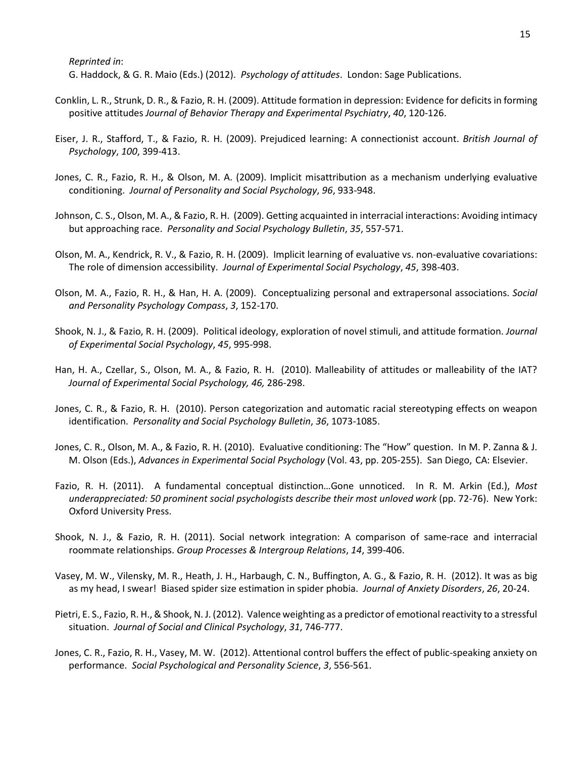*Reprinted in*:

G. Haddock, & G. R. Maio (Eds.) (2012). *Psychology of attitudes*. London: Sage Publications.

- Conklin, L. R., Strunk, D. R., & Fazio, R. H. (2009). Attitude formation in depression: Evidence for deficits in forming positive attitudes *Journal of Behavior Therapy and Experimental Psychiatry*, *40*, 120-126.
- Eiser, J. R., Stafford, T., & Fazio, R. H. (2009). Prejudiced learning: A connectionist account. *British Journal of Psychology*, *100*, 399-413.
- Jones, C. R., Fazio, R. H., & Olson, M. A. (2009). Implicit misattribution as a mechanism underlying evaluative conditioning. *Journal of Personality and Social Psychology*, *96*, 933-948.
- Johnson, C. S., Olson, M. A., & Fazio, R. H. (2009). Getting acquainted in interracial interactions: Avoiding intimacy but approaching race. *Personality and Social Psychology Bulletin*, *35*, 557-571.
- Olson, M. A., Kendrick, R. V., & Fazio, R. H. (2009). Implicit learning of evaluative vs. non-evaluative covariations: The role of dimension accessibility. *Journal of Experimental Social Psychology*, *45*, 398-403.
- Olson, M. A., Fazio, R. H., & Han, H. A. (2009). Conceptualizing personal and extrapersonal associations. *Social and Personality Psychology Compass*, *3*, 152-170.
- Shook, N. J., & Fazio, R. H. (2009). Political ideology, exploration of novel stimuli, and attitude formation. *Journal of Experimental Social Psychology*, *45*, 995-998.
- Han, H. A., Czellar, S., Olson, M. A., & Fazio, R. H. (2010). Malleability of attitudes or malleability of the IAT? *Journal of Experimental Social Psychology, 46,* 286-298.
- Jones, C. R., & Fazio, R. H. (2010). Person categorization and automatic racial stereotyping effects on weapon identification. *Personality and Social Psychology Bulletin*, *36*, 1073-1085.
- Jones, C. R., Olson, M. A., & Fazio, R. H. (2010). Evaluative conditioning: The "How" question. In M. P. Zanna & J. M. Olson (Eds.), *Advances in Experimental Social Psychology* (Vol. 43, pp. 205-255). San Diego, CA: Elsevier.
- Fazio, R. H. (2011). A fundamental conceptual distinction…Gone unnoticed. In R. M. Arkin (Ed.), *Most underappreciated: 50 prominent social psychologists describe their most unloved work* (pp. 72-76). New York: Oxford University Press.
- Shook, N. J., & Fazio, R. H. (2011). Social network integration: A comparison of same-race and interracial roommate relationships. *Group Processes & Intergroup Relations*, *14*, 399-406.
- Vasey, M. W., Vilensky, M. R., Heath, J. H., Harbaugh, C. N., Buffington, A. G., & Fazio, R. H. (2012). It was as big as my head, I swear! Biased spider size estimation in spider phobia. *Journal of Anxiety Disorders*, *26*, 20-24.
- Pietri, E. S., Fazio, R. H., & Shook, N. J. (2012). Valence weighting as a predictor of emotional reactivity to a stressful situation. *Journal of Social and Clinical Psychology*, *31*, 746-777.
- Jones, C. R., Fazio, R. H., Vasey, M. W. (2012). Attentional control buffers the effect of public-speaking anxiety on performance. *Social Psychological and Personality Science*, *3*, 556-561.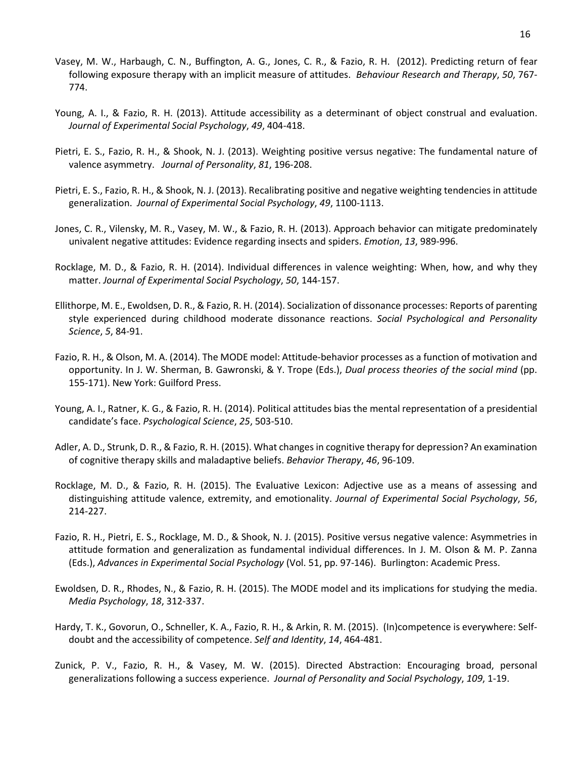- Vasey, M. W., Harbaugh, C. N., Buffington, A. G., Jones, C. R., & Fazio, R. H. (2012). Predicting return of fear following exposure therapy with an implicit measure of attitudes. *Behaviour Research and Therapy*, *50*, 767- 774.
- Young, A. I., & Fazio, R. H. (2013). Attitude accessibility as a determinant of object construal and evaluation. *Journal of Experimental Social Psychology*, *49*, 404-418.
- Pietri, E. S., Fazio, R. H., & Shook, N. J. (2013). Weighting positive versus negative: The fundamental nature of valence asymmetry. *Journal of Personality*, *81*, 196-208.
- Pietri, E. S., Fazio, R. H., & Shook, N. J. (2013). Recalibrating positive and negative weighting tendencies in attitude generalization. *Journal of Experimental Social Psychology*, *49*, 1100-1113.
- Jones, C. R., Vilensky, M. R., Vasey, M. W., & Fazio, R. H. (2013). Approach behavior can mitigate predominately univalent negative attitudes: Evidence regarding insects and spiders. *Emotion*, *13*, 989-996.
- Rocklage, M. D., & Fazio, R. H. (2014). Individual differences in valence weighting: When, how, and why they matter. *Journal of Experimental Social Psychology*, *50*, 144-157.
- Ellithorpe, M. E., Ewoldsen, D. R., & Fazio, R. H. (2014). Socialization of dissonance processes: Reports of parenting style experienced during childhood moderate dissonance reactions. *Social Psychological and Personality Science*, *5*, 84-91.
- Fazio, R. H., & Olson, M. A. (2014). The MODE model: Attitude-behavior processes as a function of motivation and opportunity. In J. W. Sherman, B. Gawronski, & Y. Trope (Eds.), *Dual process theories of the social mind* (pp. 155-171). New York: Guilford Press.
- Young, A. I., Ratner, K. G., & Fazio, R. H. (2014). Political attitudes bias the mental representation of a presidential candidate's face. *Psychological Science*, *25*, 503-510.
- Adler, A. D., Strunk, D. R., & Fazio, R. H. (2015). What changes in cognitive therapy for depression? An examination of cognitive therapy skills and maladaptive beliefs. *Behavior Therapy*, *46*, 96-109.
- Rocklage, M. D., & Fazio, R. H. (2015). The Evaluative Lexicon: Adjective use as a means of assessing and distinguishing attitude valence, extremity, and emotionality. *Journal of Experimental Social Psychology*, *56*, 214-227.
- Fazio, R. H., Pietri, E. S., Rocklage, M. D., & Shook, N. J. (2015). Positive versus negative valence: Asymmetries in attitude formation and generalization as fundamental individual differences. In J. M. Olson & M. P. Zanna (Eds.), *Advances in Experimental Social Psychology* (Vol. 51, pp. 97-146). Burlington: Academic Press.
- Ewoldsen, D. R., Rhodes, N., & Fazio, R. H. (2015). The MODE model and its implications for studying the media. *Media Psychology*, *18*, 312-337.
- Hardy, T. K., Govorun, O., Schneller, K. A., Fazio, R. H., & Arkin, R. M. (2015). (In)competence is everywhere: Selfdoubt and the accessibility of competence. *Self and Identity*, *14*, 464-481.
- Zunick, P. V., Fazio, R. H., & Vasey, M. W. (2015). Directed Abstraction: Encouraging broad, personal generalizations following a success experience. *Journal of Personality and Social Psychology*, *109*, 1-19.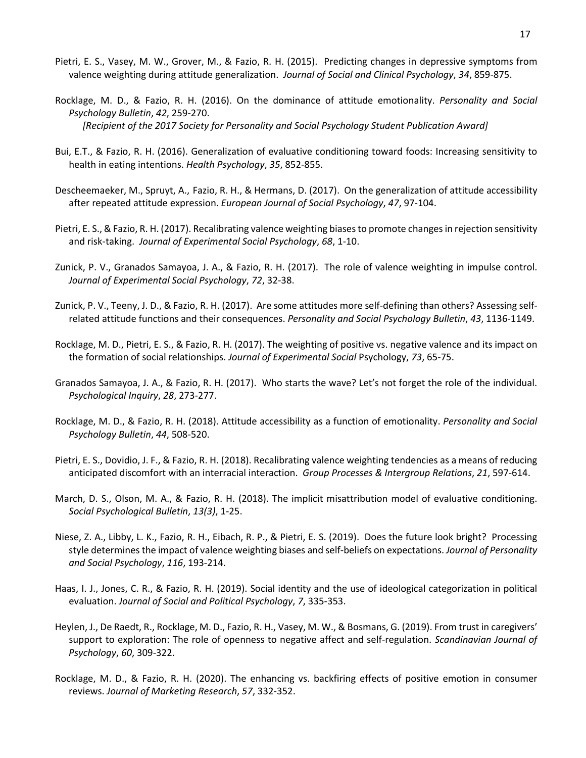- Pietri, E. S., Vasey, M. W., Grover, M., & Fazio, R. H. (2015). Predicting changes in depressive symptoms from valence weighting during attitude generalization. *Journal of Social and Clinical Psychology*, *34*, 859-875.
- Rocklage, M. D., & Fazio, R. H. (2016). On the dominance of attitude emotionality. *Personality and Social Psychology Bulletin*, *42*, 259-270. *[Recipient of the 2017 Society for Personality and Social Psychology Student Publication Award]*
- Bui, E.T., & Fazio, R. H. (2016). Generalization of evaluative conditioning toward foods: Increasing sensitivity to health in eating intentions. *Health Psychology*, *35*, 852-855.
- Descheemaeker, M., Spruyt, A., Fazio, R. H., & Hermans, D. (2017). On the generalization of attitude accessibility after repeated attitude expression. *European Journal of Social Psychology*, *47*, 97-104.
- Pietri, E. S., & Fazio, R. H. (2017). Recalibrating valence weighting biases to promote changesin rejection sensitivity and risk-taking. *Journal of Experimental Social Psychology*, *68*, 1-10.
- Zunick, P. V., Granados Samayoa, J. A., & Fazio, R. H. (2017). The role of valence weighting in impulse control. *Journal of Experimental Social Psychology*, *72*, 32-38.
- Zunick, P. V., Teeny, J. D., & Fazio, R. H. (2017). Are some attitudes more self-defining than others? Assessing selfrelated attitude functions and their consequences. *Personality and Social Psychology Bulletin*, *43*, 1136-1149.
- Rocklage, M. D., Pietri, E. S., & Fazio, R. H. (2017). The weighting of positive vs. negative valence and its impact on the formation of social relationships. *Journal of Experimental Social* Psychology, *73*, 65-75.
- Granados Samayoa, J. A., & Fazio, R. H. (2017). Who starts the wave? Let's not forget the role of the individual. *Psychological Inquiry*, *28*, 273-277.
- Rocklage, M. D., & Fazio, R. H. (2018). Attitude accessibility as a function of emotionality. *Personality and Social Psychology Bulletin*, *44*, 508-520.
- Pietri, E. S., Dovidio, J. F., & Fazio, R. H. (2018). Recalibrating valence weighting tendencies as a means of reducing anticipated discomfort with an interracial interaction. *Group Processes & Intergroup Relations*, *21*, 597-614.
- March, D. S., Olson, M. A., & Fazio, R. H. (2018). The implicit misattribution model of evaluative conditioning. *Social Psychological Bulletin*, *13(3)*, 1-25.
- Niese, Z. A., Libby, L. K., Fazio, R. H., Eibach, R. P., & Pietri, E. S. (2019). Does the future look bright? Processing style determines the impact of valence weighting biases and self-beliefs on expectations. *Journal of Personality and Social Psychology*, *116*, 193-214.
- Haas, I. J., Jones, C. R., & Fazio, R. H. (2019). Social identity and the use of ideological categorization in political evaluation. *Journal of Social and Political Psychology*, *7*, 335-353.
- Heylen, J., De Raedt, R., Rocklage, M. D., Fazio, R. H., Vasey, M. W., & Bosmans, G. (2019). From trust in caregivers' support to exploration: The role of openness to negative affect and self-regulation. *Scandinavian Journal of Psychology*, *60*, 309-322.
- Rocklage, M. D., & Fazio, R. H. (2020). The enhancing vs. backfiring effects of positive emotion in consumer reviews. *Journal of Marketing Research*, *57*, 332-352.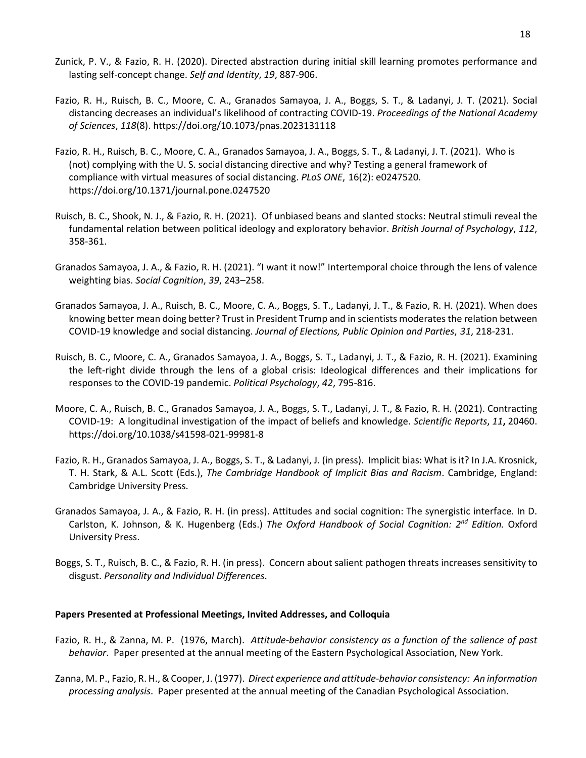- Zunick, P. V., & Fazio, R. H. (2020). Directed abstraction during initial skill learning promotes performance and lasting self-concept change. *Self and Identity*, *19*, 887-906.
- Fazio, R. H., Ruisch, B. C., Moore, C. A., Granados Samayoa, J. A., Boggs, S. T., & Ladanyi, J. T. (2021). Social distancing decreases an individual's likelihood of contracting COVID-19. *Proceedings of the National Academy of Sciences*, *118*(8). https://doi.org/10.1073/pnas.2023131118
- Fazio, R. H., Ruisch, B. C., Moore, C. A., Granados Samayoa, J. A., Boggs, S. T., & Ladanyi, J. T. (2021). Who is (not) complying with the U. S. social distancing directive and why? Testing a general framework of compliance with virtual measures of social distancing. *PLoS ONE*, 16(2): e0247520. https://doi.org/10.1371/journal.pone.0247520
- Ruisch, B. C., Shook, N. J., & Fazio, R. H. (2021). Of unbiased beans and slanted stocks: Neutral stimuli reveal the fundamental relation between political ideology and exploratory behavior. *British Journal of Psychology*, *112*, 358-361.
- Granados Samayoa, J. A., & Fazio, R. H. (2021). "I want it now!" Intertemporal choice through the lens of valence weighting bias. *Social Cognition*, *39*, 243–258.
- Granados Samayoa, J. A., Ruisch, B. C., Moore, C. A., Boggs, S. T., Ladanyi, J. T., & Fazio, R. H. (2021). When does knowing better mean doing better? Trust in President Trump and in scientists moderates the relation between COVID-19 knowledge and social distancing. *Journal of Elections, Public Opinion and Parties*, *31*, 218-231.
- Ruisch, B. C., Moore, C. A., Granados Samayoa, J. A., Boggs, S. T., Ladanyi, J. T., & Fazio, R. H. (2021). Examining the left-right divide through the lens of a global crisis: Ideological differences and their implications for responses to the COVID-19 pandemic. *Political Psychology*, *42*, 795-816.
- Moore, C. A., Ruisch, B. C., Granados Samayoa, J. A., Boggs, S. T., Ladanyi, J. T., & Fazio, R. H. (2021). Contracting COVID-19: A longitudinal investigation of the impact of beliefs and knowledge. *Scientific Reports*, *11***,** 20460. https://doi.org/10.1038/s41598-021-99981-8
- Fazio, R. H., Granados Samayoa, J. A., Boggs, S. T., & Ladanyi, J. (in press). Implicit bias: What is it? In J.A. Krosnick, T. H. Stark, & A.L. Scott (Eds.), *The Cambridge Handbook of Implicit Bias and Racism*. Cambridge, England: Cambridge University Press.
- Granados Samayoa, J. A., & Fazio, R. H. (in press). Attitudes and social cognition: The synergistic interface. In D. Carlston, K. Johnson, & K. Hugenberg (Eds.) *The Oxford Handbook of Social Cognition: 2nd Edition.* Oxford University Press.
- Boggs, S. T., Ruisch, B. C., & Fazio, R. H. (in press). Concern about salient pathogen threats increases sensitivity to disgust. *Personality and Individual Differences*.

# **Papers Presented at Professional Meetings, Invited Addresses, and Colloquia**

- Fazio, R. H., & Zanna, M. P. (1976, March). *Attitude-behavior consistency as a function of the salience of past behavior*. Paper presented at the annual meeting of the Eastern Psychological Association, New York.
- Zanna, M. P., Fazio, R. H., & Cooper, J. (1977). *Direct experience and attitude-behavior consistency: An information processing analysis*. Paper presented at the annual meeting of the Canadian Psychological Association.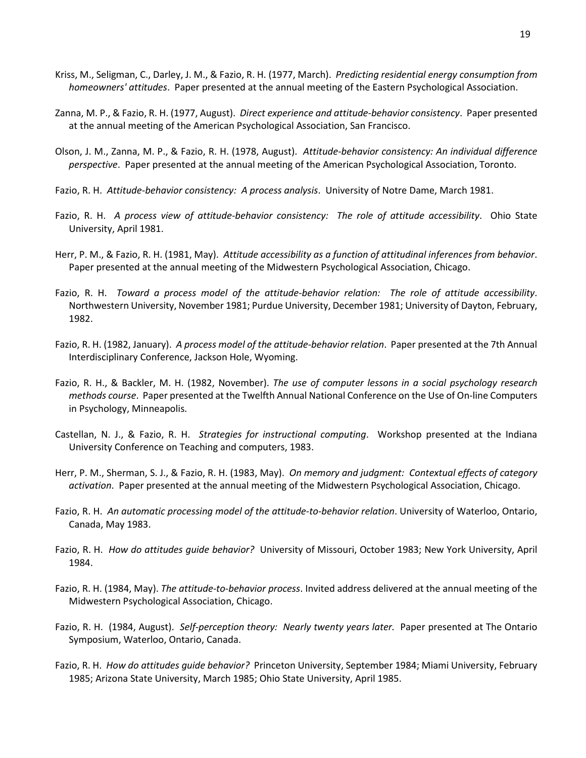- Kriss, M., Seligman, C., Darley, J. M., & Fazio, R. H. (1977, March). *Predicting residential energy consumption from homeowners' attitudes*. Paper presented at the annual meeting of the Eastern Psychological Association.
- Zanna, M. P., & Fazio, R. H. (1977, August). *Direct experience and attitude-behavior consistency*. Paper presented at the annual meeting of the American Psychological Association, San Francisco.
- Olson, J. M., Zanna, M. P., & Fazio, R. H. (1978, August). *Attitude-behavior consistency: An individual difference perspective*. Paper presented at the annual meeting of the American Psychological Association, Toronto.
- Fazio, R. H. *Attitude-behavior consistency: A process analysis*. University of Notre Dame, March 1981.
- Fazio, R. H. *A process view of attitude-behavior consistency: The role of attitude accessibility*. Ohio State University, April 1981.
- Herr, P. M., & Fazio, R. H. (1981, May). *Attitude accessibility as a function of attitudinal inferences from behavior*. Paper presented at the annual meeting of the Midwestern Psychological Association, Chicago.
- Fazio, R. H. *Toward a process model of the attitude-behavior relation: The role of attitude accessibility*. Northwestern University, November 1981; Purdue University, December 1981; University of Dayton, February, 1982.
- Fazio, R. H. (1982, January). *A process model of the attitude-behavior relation*. Paper presented at the 7th Annual Interdisciplinary Conference, Jackson Hole, Wyoming.
- Fazio, R. H., & Backler, M. H. (1982, November). *The use of computer lessons in a social psychology research methods course*. Paper presented at the Twelfth Annual National Conference on the Use of On-line Computers in Psychology, Minneapolis.
- Castellan, N. J., & Fazio, R. H. *Strategies for instructional computing*. Workshop presented at the Indiana University Conference on Teaching and computers, 1983.
- Herr, P. M., Sherman, S. J., & Fazio, R. H. (1983, May). *On memory and judgment: Contextual effects of category activation*. Paper presented at the annual meeting of the Midwestern Psychological Association, Chicago.
- Fazio, R. H. *An automatic processing model of the attitude-to-behavior relation*. University of Waterloo, Ontario, Canada, May 1983.
- Fazio, R. H. *How do attitudes guide behavior?* University of Missouri, October 1983; New York University, April 1984.
- Fazio, R. H. (1984, May). *The attitude-to-behavior process*. Invited address delivered at the annual meeting of the Midwestern Psychological Association, Chicago.
- Fazio, R. H. (1984, August). *Self-perception theory: Nearly twenty years later.* Paper presented at The Ontario Symposium, Waterloo, Ontario, Canada.
- Fazio, R. H. *How do attitudes guide behavior?* Princeton University, September 1984; Miami University, February 1985; Arizona State University, March 1985; Ohio State University, April 1985.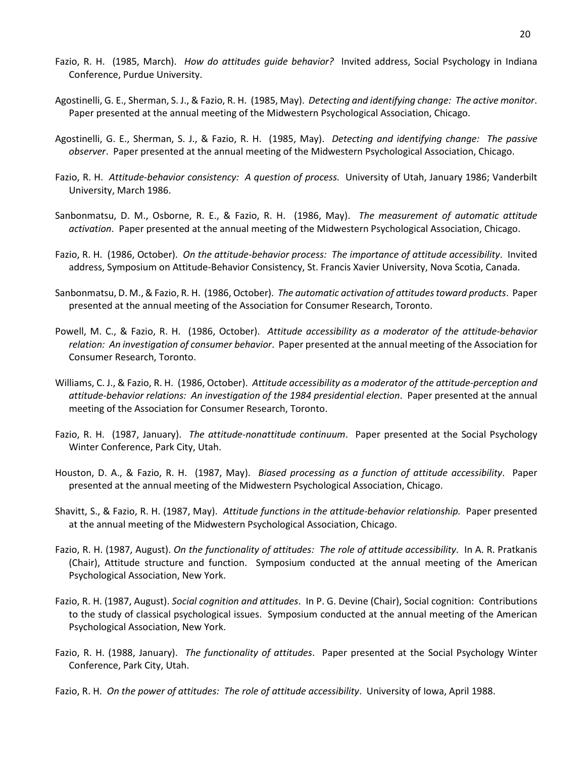- Fazio, R. H. (1985, March). *How do attitudes guide behavior?* Invited address, Social Psychology in Indiana Conference, Purdue University.
- Agostinelli, G. E., Sherman, S. J., & Fazio, R. H. (1985, May). *Detecting and identifying change: The active monitor*. Paper presented at the annual meeting of the Midwestern Psychological Association, Chicago.
- Agostinelli, G. E., Sherman, S. J., & Fazio, R. H. (1985, May). *Detecting and identifying change: The passive observer*. Paper presented at the annual meeting of the Midwestern Psychological Association, Chicago.
- Fazio, R. H. *Attitude-behavior consistency: A question of process.* University of Utah, January 1986; Vanderbilt University, March 1986.
- Sanbonmatsu, D. M., Osborne, R. E., & Fazio, R. H. (1986, May). *The measurement of automatic attitude activation*. Paper presented at the annual meeting of the Midwestern Psychological Association, Chicago.
- Fazio, R. H. (1986, October). *On the attitude-behavior process: The importance of attitude accessibility*. Invited address, Symposium on Attitude-Behavior Consistency, St. Francis Xavier University, Nova Scotia, Canada.
- Sanbonmatsu, D. M., & Fazio, R. H. (1986, October). *The automatic activation of attitudes toward products*. Paper presented at the annual meeting of the Association for Consumer Research, Toronto.
- Powell, M. C., & Fazio, R. H. (1986, October). *Attitude accessibility as a moderator of the attitude-behavior relation: An investigation of consumer behavior*. Paper presented at the annual meeting of the Association for Consumer Research, Toronto.
- Williams, C. J., & Fazio, R. H. (1986, October). *Attitude accessibility as a moderator of the attitude-perception and attitude-behavior relations: An investigation of the 1984 presidential election*. Paper presented at the annual meeting of the Association for Consumer Research, Toronto.
- Fazio, R. H. (1987, January). *The attitude-nonattitude continuum*. Paper presented at the Social Psychology Winter Conference, Park City, Utah.
- Houston, D. A., & Fazio, R. H. (1987, May). *Biased processing as a function of attitude accessibility*. Paper presented at the annual meeting of the Midwestern Psychological Association, Chicago.
- Shavitt, S., & Fazio, R. H. (1987, May). *Attitude functions in the attitude-behavior relationship.* Paper presented at the annual meeting of the Midwestern Psychological Association, Chicago.
- Fazio, R. H. (1987, August). *On the functionality of attitudes: The role of attitude accessibility*. In A. R. Pratkanis (Chair), Attitude structure and function. Symposium conducted at the annual meeting of the American Psychological Association, New York.
- Fazio, R. H. (1987, August). *Social cognition and attitudes*. In P. G. Devine (Chair), Social cognition: Contributions to the study of classical psychological issues. Symposium conducted at the annual meeting of the American Psychological Association, New York.
- Fazio, R. H. (1988, January). *The functionality of attitudes*. Paper presented at the Social Psychology Winter Conference, Park City, Utah.
- Fazio, R. H. *On the power of attitudes: The role of attitude accessibility*. University of Iowa, April 1988.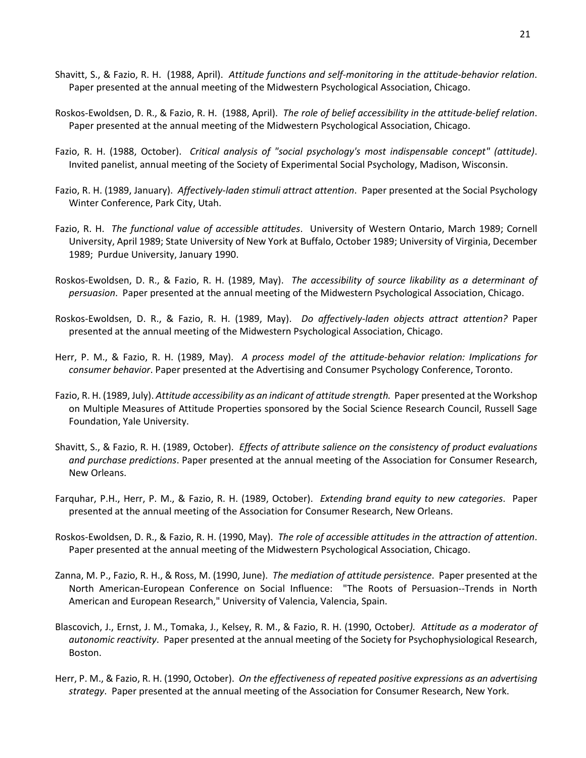- Shavitt, S., & Fazio, R. H. (1988, April). *Attitude functions and self-monitoring in the attitude-behavior relation*. Paper presented at the annual meeting of the Midwestern Psychological Association, Chicago.
- Roskos-Ewoldsen, D. R., & Fazio, R. H. (1988, April). *The role of belief accessibility in the attitude-belief relation*. Paper presented at the annual meeting of the Midwestern Psychological Association, Chicago.
- Fazio, R. H. (1988, October). *Critical analysis of "social psychology's most indispensable concept" (attitude)*. Invited panelist, annual meeting of the Society of Experimental Social Psychology, Madison, Wisconsin.
- Fazio, R. H. (1989, January). *Affectively-laden stimuli attract attention*. Paper presented at the Social Psychology Winter Conference, Park City, Utah.
- Fazio, R. H. *The functional value of accessible attitudes*. University of Western Ontario, March 1989; Cornell University, April 1989; State University of New York at Buffalo, October 1989; University of Virginia, December 1989; Purdue University, January 1990.
- Roskos-Ewoldsen, D. R., & Fazio, R. H. (1989, May). *The accessibility of source likability as a determinant of persuasion*. Paper presented at the annual meeting of the Midwestern Psychological Association, Chicago.
- Roskos-Ewoldsen, D. R., & Fazio, R. H. (1989, May). *Do affectively-laden objects attract attention?* Paper presented at the annual meeting of the Midwestern Psychological Association, Chicago.
- Herr, P. M., & Fazio, R. H. (1989, May). *A process model of the attitude-behavior relation: Implications for consumer behavior*. Paper presented at the Advertising and Consumer Psychology Conference, Toronto.
- Fazio, R. H. (1989, July). *Attitude accessibility as an indicant of attitude strength.* Paper presented at the Workshop on Multiple Measures of Attitude Properties sponsored by the Social Science Research Council, Russell Sage Foundation, Yale University.
- Shavitt, S., & Fazio, R. H. (1989, October). *Effects of attribute salience on the consistency of product evaluations and purchase predictions*. Paper presented at the annual meeting of the Association for Consumer Research, New Orleans.
- Farquhar, P.H., Herr, P. M., & Fazio, R. H. (1989, October). *Extending brand equity to new categories*. Paper presented at the annual meeting of the Association for Consumer Research, New Orleans.
- Roskos-Ewoldsen, D. R., & Fazio, R. H. (1990, May). *The role of accessible attitudes in the attraction of attention*. Paper presented at the annual meeting of the Midwestern Psychological Association, Chicago.
- Zanna, M. P., Fazio, R. H., & Ross, M. (1990, June). *The mediation of attitude persistence*. Paper presented at the North American-European Conference on Social Influence: "The Roots of Persuasion--Trends in North American and European Research," University of Valencia, Valencia, Spain.
- Blascovich, J., Ernst, J. M., Tomaka, J., Kelsey, R. M., & Fazio, R. H. (1990, October*). Attitude as a moderator of autonomic reactivity*. Paper presented at the annual meeting of the Society for Psychophysiological Research, Boston.
- Herr, P. M., & Fazio, R. H. (1990, October). *On the effectiveness of repeated positive expressions as an advertising strategy*. Paper presented at the annual meeting of the Association for Consumer Research, New York.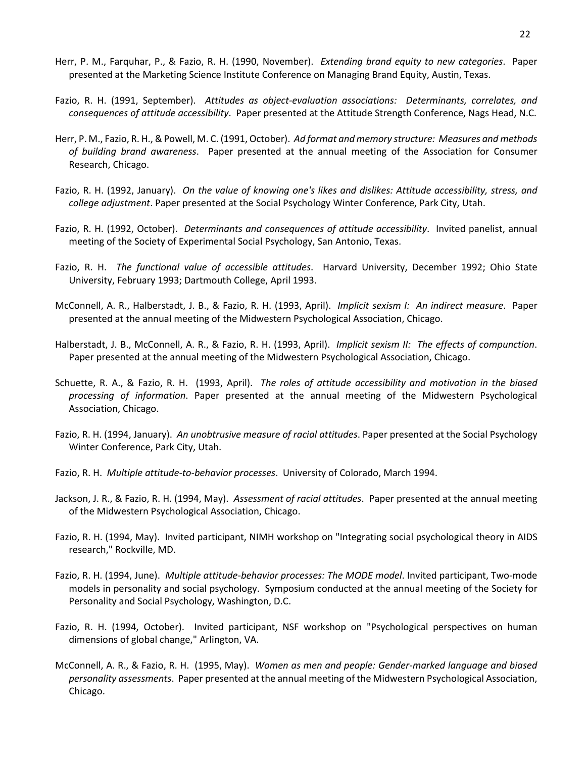- Herr, P. M., Farquhar, P., & Fazio, R. H. (1990, November). *Extending brand equity to new categories*. Paper presented at the Marketing Science Institute Conference on Managing Brand Equity, Austin, Texas.
- Fazio, R. H. (1991, September). *Attitudes as object-evaluation associations: Determinants, correlates, and consequences of attitude accessibility*. Paper presented at the Attitude Strength Conference, Nags Head, N.C.
- Herr, P. M., Fazio, R. H., & Powell, M. C. (1991, October). *Ad format and memory structure: Measures and methods of building brand awareness*. Paper presented at the annual meeting of the Association for Consumer Research, Chicago.
- Fazio, R. H. (1992, January). *On the value of knowing one's likes and dislikes: Attitude accessibility, stress, and college adjustment*. Paper presented at the Social Psychology Winter Conference, Park City, Utah.
- Fazio, R. H. (1992, October). *Determinants and consequences of attitude accessibility*. Invited panelist, annual meeting of the Society of Experimental Social Psychology, San Antonio, Texas.
- Fazio, R. H. *The functional value of accessible attitudes*. Harvard University, December 1992; Ohio State University, February 1993; Dartmouth College, April 1993.
- McConnell, A. R., Halberstadt, J. B., & Fazio, R. H. (1993, April). *Implicit sexism I: An indirect measure*. Paper presented at the annual meeting of the Midwestern Psychological Association, Chicago.
- Halberstadt, J. B., McConnell, A. R., & Fazio, R. H. (1993, April). *Implicit sexism II: The effects of compunction*. Paper presented at the annual meeting of the Midwestern Psychological Association, Chicago.
- Schuette, R. A., & Fazio, R. H. (1993, April). *The roles of attitude accessibility and motivation in the biased processing of information*. Paper presented at the annual meeting of the Midwestern Psychological Association, Chicago.
- Fazio, R. H. (1994, January). *An unobtrusive measure of racial attitudes*. Paper presented at the Social Psychology Winter Conference, Park City, Utah.
- Fazio, R. H. *Multiple attitude-to-behavior processes*. University of Colorado, March 1994.
- Jackson, J. R., & Fazio, R. H. (1994, May). *Assessment of racial attitudes*. Paper presented at the annual meeting of the Midwestern Psychological Association, Chicago.
- Fazio, R. H. (1994, May). Invited participant, NIMH workshop on "Integrating social psychological theory in AIDS research," Rockville, MD.
- Fazio, R. H. (1994, June). *Multiple attitude-behavior processes: The MODE model*. Invited participant, Two-mode models in personality and social psychology. Symposium conducted at the annual meeting of the Society for Personality and Social Psychology, Washington, D.C.
- Fazio, R. H. (1994, October). Invited participant, NSF workshop on "Psychological perspectives on human dimensions of global change," Arlington, VA.
- McConnell, A. R., & Fazio, R. H. (1995, May). *Women as men and people: Gender-marked language and biased personality assessments*. Paper presented at the annual meeting of the Midwestern Psychological Association, Chicago.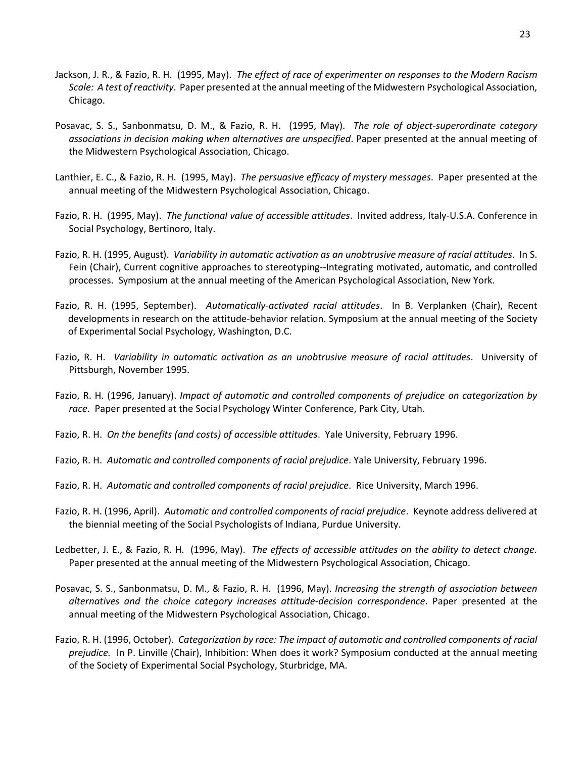- Jackson, J. R., & Fazio, R. H. (1995, May). *The effect of race of experimenter on responses to the Modern Racism Scale: A test of reactivity*. Paper presented at the annual meeting of the Midwestern Psychological Association, Chicago.
- Posavac, S. S., Sanbonmatsu, D. M., & Fazio, R. H. (1995, May). *The role of object-superordinate category associations in decision making when alternatives are unspecified*. Paper presented at the annual meeting of the Midwestern Psychological Association, Chicago.
- Lanthier, E. C., & Fazio, R. H. (1995, May). *The persuasive efficacy of mystery messages*. Paper presented at the annual meeting of the Midwestern Psychological Association, Chicago.
- Fazio, R. H. (1995, May). *The functional value of accessible attitudes*. Invited address, Italy-U.S.A. Conference in Social Psychology, Bertinoro, Italy.
- Fazio, R. H. (1995, August). *Variability in automatic activation as an unobtrusive measure of racial attitudes*. In S. Fein (Chair), Current cognitive approaches to stereotyping--Integrating motivated, automatic, and controlled processes. Symposium at the annual meeting of the American Psychological Association, New York.
- Fazio, R. H. (1995, September). *Automatically-activated racial attitudes*. In B. Verplanken (Chair), Recent developments in research on the attitude-behavior relation. Symposium at the annual meeting of the Society of Experimental Social Psychology, Washington, D.C.
- Fazio, R. H. *Variability in automatic activation as an unobtrusive measure of racial attitudes*. University of Pittsburgh, November 1995.
- Fazio, R. H. (1996, January). *Impact of automatic and controlled components of prejudice on categorization by race*. Paper presented at the Social Psychology Winter Conference, Park City, Utah.
- Fazio, R. H. *On the benefits (and costs) of accessible attitudes*. Yale University, February 1996.
- Fazio, R. H. *Automatic and controlled components of racial prejudice*. Yale University, February 1996.
- Fazio, R. H. *Automatic and controlled components of racial prejudice*. Rice University, March 1996.
- Fazio, R. H. (1996, April). *Automatic and controlled components of racial prejudice*. Keynote address delivered at the biennial meeting of the Social Psychologists of Indiana, Purdue University.
- Ledbetter, J. E., & Fazio, R. H. (1996, May). *The effects of accessible attitudes on the ability to detect change.* Paper presented at the annual meeting of the Midwestern Psychological Association, Chicago.
- Posavac, S. S., Sanbonmatsu, D. M., & Fazio, R. H. (1996, May). *Increasing the strength of association between alternatives and the choice category increases attitude-decision correspondence*. Paper presented at the annual meeting of the Midwestern Psychological Association, Chicago.
- Fazio, R. H. (1996, October). *Categorization by race: The impact of automatic and controlled components of racial prejudice.* In P. Linville (Chair), Inhibition: When does it work? Symposium conducted at the annual meeting of the Society of Experimental Social Psychology, Sturbridge, MA.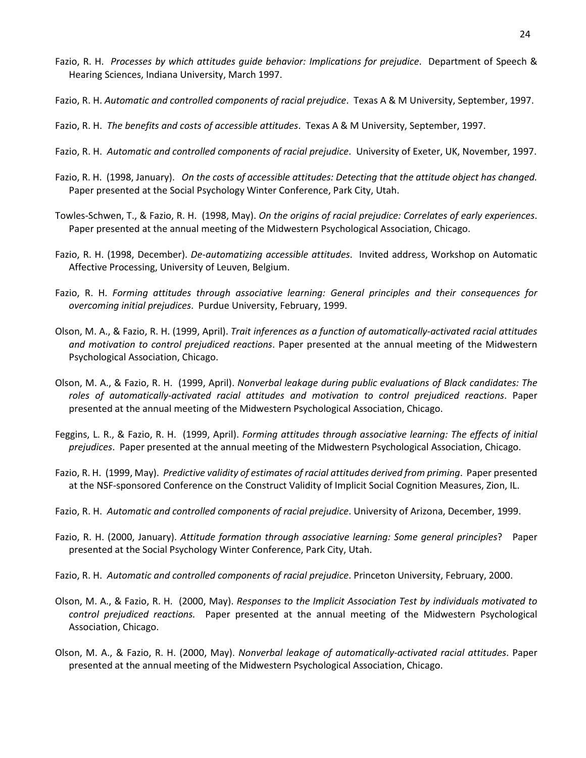- Fazio, R. H. *Processes by which attitudes guide behavior: Implications for prejudice*. Department of Speech & Hearing Sciences, Indiana University, March 1997.
- Fazio, R. H. *Automatic and controlled components of racial prejudice*. Texas A & M University, September, 1997.
- Fazio, R. H. *The benefits and costs of accessible attitudes*. Texas A & M University, September, 1997.
- Fazio, R. H. *Automatic and controlled components of racial prejudice*. University of Exeter, UK, November, 1997.
- Fazio, R. H. (1998, January). *On the costs of accessible attitudes: Detecting that the attitude object has changed.* Paper presented at the Social Psychology Winter Conference, Park City, Utah.
- Towles-Schwen, T., & Fazio, R. H. (1998, May). *On the origins of racial prejudice: Correlates of early experiences*. Paper presented at the annual meeting of the Midwestern Psychological Association, Chicago.
- Fazio, R. H. (1998, December). *De-automatizing accessible attitudes*. Invited address, Workshop on Automatic Affective Processing, University of Leuven, Belgium.
- Fazio, R. H. *Forming attitudes through associative learning: General principles and their consequences for overcoming initial prejudices*. Purdue University, February, 1999.
- Olson, M. A., & Fazio, R. H. (1999, April). *Trait inferences as a function of automatically-activated racial attitudes and motivation to control prejudiced reactions*. Paper presented at the annual meeting of the Midwestern Psychological Association, Chicago.
- Olson, M. A., & Fazio, R. H. (1999, April). *Nonverbal leakage during public evaluations of Black candidates: The roles of automatically-activated racial attitudes and motivation to control prejudiced reactions*. Paper presented at the annual meeting of the Midwestern Psychological Association, Chicago.
- Feggins, L. R., & Fazio, R. H. (1999, April). *Forming attitudes through associative learning: The effects of initial prejudices*. Paper presented at the annual meeting of the Midwestern Psychological Association, Chicago.
- Fazio, R. H. (1999, May). *Predictive validity of estimates of racial attitudes derived from priming*. Paper presented at the NSF-sponsored Conference on the Construct Validity of Implicit Social Cognition Measures, Zion, IL.
- Fazio, R. H. *Automatic and controlled components of racial prejudice*. University of Arizona, December, 1999.
- Fazio, R. H. (2000, January). *Attitude formation through associative learning: Some general principles*? Paper presented at the Social Psychology Winter Conference, Park City, Utah.
- Fazio, R. H. *Automatic and controlled components of racial prejudice*. Princeton University, February, 2000.
- Olson, M. A., & Fazio, R. H. (2000, May). *Responses to the Implicit Association Test by individuals motivated to control prejudiced reactions.* Paper presented at the annual meeting of the Midwestern Psychological Association, Chicago.
- Olson, M. A., & Fazio, R. H. (2000, May). *Nonverbal leakage of automatically-activated racial attitudes*. Paper presented at the annual meeting of the Midwestern Psychological Association, Chicago.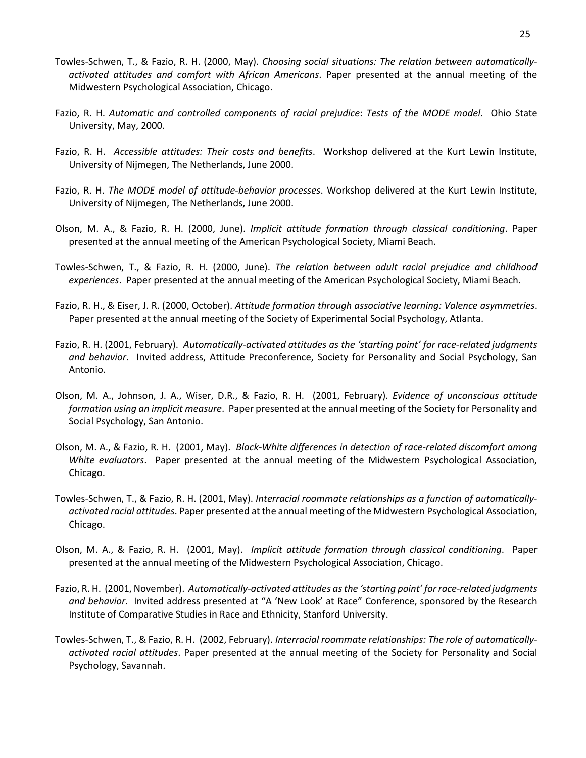- Towles-Schwen, T., & Fazio, R. H. (2000, May). *Choosing social situations: The relation between automaticallyactivated attitudes and comfort with African Americans*. Paper presented at the annual meeting of the Midwestern Psychological Association, Chicago.
- Fazio, R. H. *Automatic and controlled components of racial prejudice*: *Tests of the MODE model*. Ohio State University, May, 2000.
- Fazio, R. H. *Accessible attitudes: Their costs and benefits*. Workshop delivered at the Kurt Lewin Institute, University of Nijmegen, The Netherlands, June 2000.
- Fazio, R. H. *The MODE model of attitude-behavior processes*. Workshop delivered at the Kurt Lewin Institute, University of Nijmegen, The Netherlands, June 2000.
- Olson, M. A., & Fazio, R. H. (2000, June). *Implicit attitude formation through classical conditioning*. Paper presented at the annual meeting of the American Psychological Society, Miami Beach.
- Towles-Schwen, T., & Fazio, R. H. (2000, June). *The relation between adult racial prejudice and childhood experiences*. Paper presented at the annual meeting of the American Psychological Society, Miami Beach.
- Fazio, R. H., & Eiser, J. R. (2000, October). *Attitude formation through associative learning: Valence asymmetries*. Paper presented at the annual meeting of the Society of Experimental Social Psychology, Atlanta.
- Fazio, R. H. (2001, February). *Automatically-activated attitudes as the 'starting point' for race-related judgments and behavior*. Invited address, Attitude Preconference, Society for Personality and Social Psychology, San Antonio.
- Olson, M. A., Johnson, J. A., Wiser, D.R., & Fazio, R. H. (2001, February). *Evidence of unconscious attitude formation using an implicit measure*. Paper presented at the annual meeting of the Society for Personality and Social Psychology, San Antonio.
- Olson, M. A., & Fazio, R. H. (2001, May). *Black-White differences in detection of race-related discomfort among White evaluators*. Paper presented at the annual meeting of the Midwestern Psychological Association, Chicago.
- Towles-Schwen, T., & Fazio, R. H. (2001, May). *Interracial roommate relationships as a function of automaticallyactivated racial attitudes*. Paper presented at the annual meeting of the Midwestern Psychological Association, Chicago.
- Olson, M. A., & Fazio, R. H. (2001, May). *Implicit attitude formation through classical conditioning*. Paper presented at the annual meeting of the Midwestern Psychological Association, Chicago.
- Fazio, R. H. (2001, November). *Automatically-activated attitudes as the 'starting point' for race-related judgments and behavior*. Invited address presented at "A 'New Look' at Race" Conference, sponsored by the Research Institute of Comparative Studies in Race and Ethnicity, Stanford University.
- Towles-Schwen, T., & Fazio, R. H. (2002, February). *Interracial roommate relationships: The role of automaticallyactivated racial attitudes*. Paper presented at the annual meeting of the Society for Personality and Social Psychology, Savannah.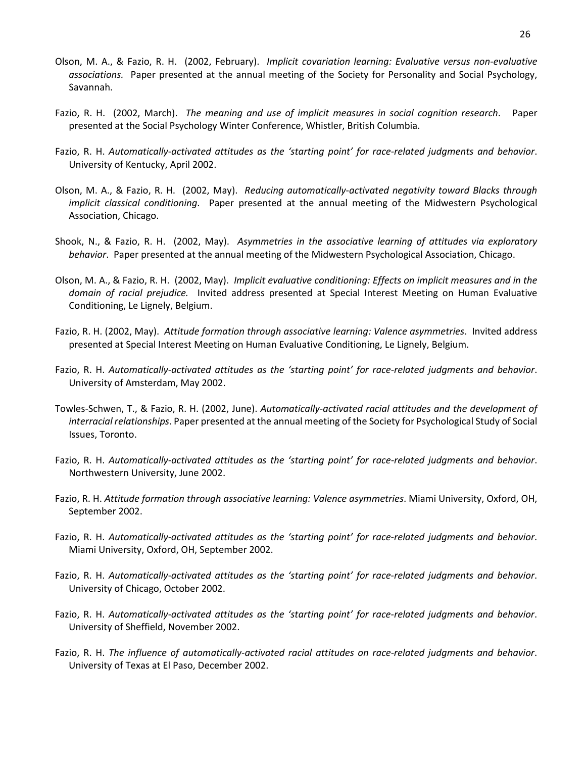- Olson, M. A., & Fazio, R. H. (2002, February). *Implicit covariation learning: Evaluative versus non-evaluative associations.* Paper presented at the annual meeting of the Society for Personality and Social Psychology, Savannah.
- Fazio, R. H. (2002, March). *The meaning and use of implicit measures in social cognition research*. Paper presented at the Social Psychology Winter Conference, Whistler, British Columbia.
- Fazio, R. H. *Automatically-activated attitudes as the 'starting point' for race-related judgments and behavior*. University of Kentucky, April 2002.
- Olson, M. A., & Fazio, R. H. (2002, May). *Reducing automatically-activated negativity toward Blacks through implicit classical conditioning*. Paper presented at the annual meeting of the Midwestern Psychological Association, Chicago.
- Shook, N., & Fazio, R. H. (2002, May). *Asymmetries in the associative learning of attitudes via exploratory behavior*. Paper presented at the annual meeting of the Midwestern Psychological Association, Chicago.
- Olson, M. A., & Fazio, R. H. (2002, May). *Implicit evaluative conditioning: Effects on implicit measures and in the domain of racial prejudice.* Invited address presented at Special Interest Meeting on Human Evaluative Conditioning, Le Lignely, Belgium.
- Fazio, R. H. (2002, May). *Attitude formation through associative learning: Valence asymmetries*. Invited address presented at Special Interest Meeting on Human Evaluative Conditioning, Le Lignely, Belgium.
- Fazio, R. H. *Automatically-activated attitudes as the 'starting point' for race-related judgments and behavior*. University of Amsterdam, May 2002.
- Towles-Schwen, T., & Fazio, R. H. (2002, June). *Automatically-activated racial attitudes and the development of interracial relationships*. Paper presented at the annual meeting of the Society for Psychological Study of Social Issues, Toronto.
- Fazio, R. H. *Automatically-activated attitudes as the 'starting point' for race-related judgments and behavior*. Northwestern University, June 2002.
- Fazio, R. H. *Attitude formation through associative learning: Valence asymmetries*. Miami University, Oxford, OH, September 2002.
- Fazio, R. H. *Automatically-activated attitudes as the 'starting point' for race-related judgments and behavior*. Miami University, Oxford, OH, September 2002.
- Fazio, R. H. *Automatically-activated attitudes as the 'starting point' for race-related judgments and behavior*. University of Chicago, October 2002.
- Fazio, R. H. *Automatically-activated attitudes as the 'starting point' for race-related judgments and behavior*. University of Sheffield, November 2002.
- Fazio, R. H. *The influence of automatically-activated racial attitudes on race-related judgments and behavior*. University of Texas at El Paso, December 2002.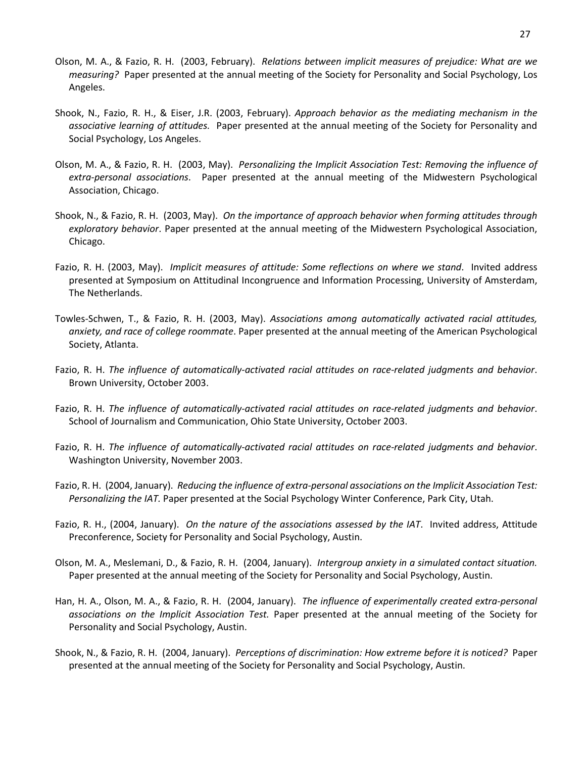- Olson, M. A., & Fazio, R. H. (2003, February). *Relations between implicit measures of prejudice: What are we measuring?* Paper presented at the annual meeting of the Society for Personality and Social Psychology, Los Angeles.
- Shook, N., Fazio, R. H., & Eiser, J.R. (2003, February). *Approach behavior as the mediating mechanism in the associative learning of attitudes.* Paper presented at the annual meeting of the Society for Personality and Social Psychology, Los Angeles.
- Olson, M. A., & Fazio, R. H. (2003, May). *Personalizing the Implicit Association Test: Removing the influence of extra-personal associations*. Paper presented at the annual meeting of the Midwestern Psychological Association, Chicago.
- Shook, N., & Fazio, R. H. (2003, May). *On the importance of approach behavior when forming attitudes through exploratory behavior*. Paper presented at the annual meeting of the Midwestern Psychological Association, Chicago.
- Fazio, R. H. (2003, May). *Implicit measures of attitude: Some reflections on where we stand*. Invited address presented at Symposium on Attitudinal Incongruence and Information Processing, University of Amsterdam, The Netherlands.
- Towles-Schwen, T., & Fazio, R. H. (2003, May). *Associations among automatically activated racial attitudes, anxiety, and race of college roommate*. Paper presented at the annual meeting of the American Psychological Society, Atlanta.
- Fazio, R. H. *The influence of automatically-activated racial attitudes on race-related judgments and behavior*. Brown University, October 2003.
- Fazio, R. H. *The influence of automatically-activated racial attitudes on race-related judgments and behavior*. School of Journalism and Communication, Ohio State University, October 2003.
- Fazio, R. H. *The influence of automatically-activated racial attitudes on race-related judgments and behavior*. Washington University, November 2003.
- Fazio, R. H. (2004, January). *Reducing the influence of extra-personal associations on the Implicit Association Test: Personalizing the IAT.* Paper presented at the Social Psychology Winter Conference, Park City, Utah.
- Fazio, R. H., (2004, January). *On the nature of the associations assessed by the IAT*. Invited address, Attitude Preconference, Society for Personality and Social Psychology, Austin.
- Olson, M. A., Meslemani, D., & Fazio, R. H. (2004, January). *Intergroup anxiety in a simulated contact situation.*  Paper presented at the annual meeting of the Society for Personality and Social Psychology, Austin.
- Han, H. A., Olson, M. A., & Fazio, R. H. (2004, January). *The influence of experimentally created extra-personal associations on the Implicit Association Test.* Paper presented at the annual meeting of the Society for Personality and Social Psychology, Austin.
- Shook, N., & Fazio, R. H. (2004, January). *Perceptions of discrimination: How extreme before it is noticed?* Paper presented at the annual meeting of the Society for Personality and Social Psychology, Austin.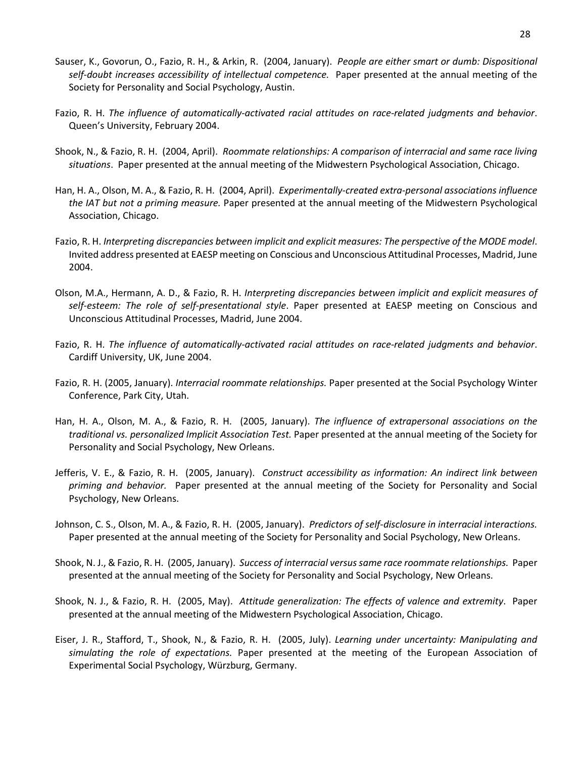- Sauser, K., Govorun, O., Fazio, R. H., & Arkin, R. (2004, January). *People are either smart or dumb: Dispositional self-doubt increases accessibility of intellectual competence.* Paper presented at the annual meeting of the Society for Personality and Social Psychology, Austin.
- Fazio, R. H. *The influence of automatically-activated racial attitudes on race-related judgments and behavior*. Queen's University, February 2004.
- Shook, N., & Fazio, R. H. (2004, April). *Roommate relationships: A comparison of interracial and same race living situations*. Paper presented at the annual meeting of the Midwestern Psychological Association, Chicago.
- Han, H. A., Olson, M. A., & Fazio, R. H. (2004, April). *Experimentally-created extra-personal associations influence the IAT but not a priming measure.* Paper presented at the annual meeting of the Midwestern Psychological Association, Chicago.
- Fazio, R. H. *Interpreting discrepancies between implicit and explicit measures: The perspective of the MODE model*. Invited address presented at EAESP meeting on Conscious and Unconscious Attitudinal Processes, Madrid, June 2004.
- Olson, M.A., Hermann, A. D., & Fazio, R. H. *Interpreting discrepancies between implicit and explicit measures of self-esteem: The role of self-presentational style*. Paper presented at EAESP meeting on Conscious and Unconscious Attitudinal Processes, Madrid, June 2004.
- Fazio, R. H. *The influence of automatically-activated racial attitudes on race-related judgments and behavior*. Cardiff University, UK, June 2004.
- Fazio, R. H. (2005, January). *Interracial roommate relationships.* Paper presented at the Social Psychology Winter Conference, Park City, Utah.
- Han, H. A., Olson, M. A., & Fazio, R. H. (2005, January). *The influence of extrapersonal associations on the traditional vs. personalized Implicit Association Test.* Paper presented at the annual meeting of the Society for Personality and Social Psychology, New Orleans.
- Jefferis, V. E., & Fazio, R. H. (2005, January). *Construct accessibility as information: An indirect link between priming and behavior.* Paper presented at the annual meeting of the Society for Personality and Social Psychology, New Orleans.
- Johnson, C. S., Olson, M. A., & Fazio, R. H. (2005, January). *Predictors of self-disclosure in interracial interactions.*  Paper presented at the annual meeting of the Society for Personality and Social Psychology, New Orleans.
- Shook, N. J., & Fazio, R. H. (2005, January). *Success of interracial versus same race roommate relationships.* Paper presented at the annual meeting of the Society for Personality and Social Psychology, New Orleans.
- Shook, N. J., & Fazio, R. H. (2005, May). *Attitude generalization: The effects of valence and extremity*. Paper presented at the annual meeting of the Midwestern Psychological Association, Chicago.
- Eiser, J. R., Stafford, T., Shook, N., & Fazio, R. H. (2005, July). *Learning under uncertainty: Manipulating and simulating the role of expectations.* Paper presented at the meeting of the European Association of Experimental Social Psychology, Würzburg, Germany.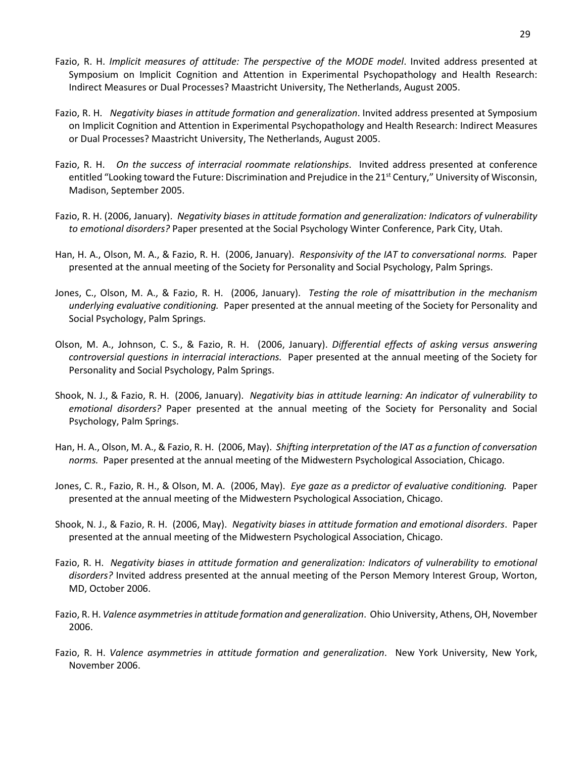- Fazio, R. H. *Implicit measures of attitude: The perspective of the MODE model*. Invited address presented at Symposium on Implicit Cognition and Attention in Experimental Psychopathology and Health Research: Indirect Measures or Dual Processes? Maastricht University, The Netherlands, August 2005.
- Fazio, R. H. *Negativity biases in attitude formation and generalization*. Invited address presented at Symposium on Implicit Cognition and Attention in Experimental Psychopathology and Health Research: Indirect Measures or Dual Processes? Maastricht University, The Netherlands, August 2005.
- Fazio, R. H. *On the success of interracial roommate relationships*. Invited address presented at conference entitled "Looking toward the Future: Discrimination and Prejudice in the 21<sup>st</sup> Century," University of Wisconsin, Madison, September 2005.
- Fazio, R. H. (2006, January). *Negativity biases in attitude formation and generalization: Indicators of vulnerability to emotional disorders?* Paper presented at the Social Psychology Winter Conference, Park City, Utah.
- Han, H. A., Olson, M. A., & Fazio, R. H. (2006, January). *Responsivity of the IAT to conversational norms.* Paper presented at the annual meeting of the Society for Personality and Social Psychology, Palm Springs.
- Jones, C., Olson, M. A., & Fazio, R. H. (2006, January). *Testing the role of misattribution in the mechanism underlying evaluative conditioning.* Paper presented at the annual meeting of the Society for Personality and Social Psychology, Palm Springs.
- Olson, M. A., Johnson, C. S., & Fazio, R. H. (2006, January). *Differential effects of asking versus answering controversial questions in interracial interactions.* Paper presented at the annual meeting of the Society for Personality and Social Psychology, Palm Springs.
- Shook, N. J., & Fazio, R. H. (2006, January). *Negativity bias in attitude learning: An indicator of vulnerability to emotional disorders?* Paper presented at the annual meeting of the Society for Personality and Social Psychology, Palm Springs.
- Han, H. A., Olson, M. A., & Fazio, R. H. (2006, May). *Shifting interpretation of the IAT as a function of conversation norms.* Paper presented at the annual meeting of the Midwestern Psychological Association, Chicago.
- Jones, C. R., Fazio, R. H., & Olson, M. A. (2006, May). *Eye gaze as a predictor of evaluative conditioning.* Paper presented at the annual meeting of the Midwestern Psychological Association, Chicago.
- Shook, N. J., & Fazio, R. H. (2006, May). *Negativity biases in attitude formation and emotional disorders*. Paper presented at the annual meeting of the Midwestern Psychological Association, Chicago.
- Fazio, R. H. *Negativity biases in attitude formation and generalization: Indicators of vulnerability to emotional disorders?* Invited address presented at the annual meeting of the Person Memory Interest Group, Worton, MD, October 2006.
- Fazio, R. H. *Valence asymmetries in attitude formation and generalization*. Ohio University, Athens, OH, November 2006.
- Fazio, R. H. *Valence asymmetries in attitude formation and generalization*. New York University, New York, November 2006.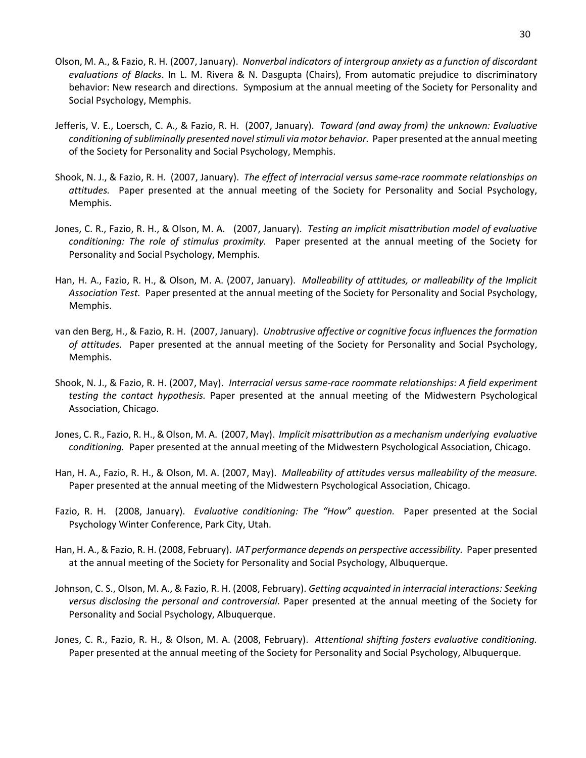- Olson, M. A., & Fazio, R. H. (2007, January). *Nonverbal indicators of intergroup anxiety as a function of discordant evaluations of Blacks*. In L. M. Rivera & N. Dasgupta (Chairs), From automatic prejudice to discriminatory behavior: New research and directions. Symposium at the annual meeting of the Society for Personality and Social Psychology, Memphis.
- Jefferis, V. E., Loersch, C. A., & Fazio, R. H. (2007, January). *Toward (and away from) the unknown: Evaluative conditioning of subliminally presented novel stimuli via motor behavior.* Paper presented at the annual meeting of the Society for Personality and Social Psychology, Memphis.
- Shook, N. J., & Fazio, R. H. (2007, January). *The effect of interracial versus same-race roommate relationships on attitudes.* Paper presented at the annual meeting of the Society for Personality and Social Psychology, Memphis.
- Jones, C. R., Fazio, R. H., & Olson, M. A. (2007, January). *Testing an implicit misattribution model of evaluative conditioning: The role of stimulus proximity.* Paper presented at the annual meeting of the Society for Personality and Social Psychology, Memphis.
- Han, H. A., Fazio, R. H., & Olson, M. A. (2007, January). *Malleability of attitudes, or malleability of the Implicit Association Test.* Paper presented at the annual meeting of the Society for Personality and Social Psychology, Memphis.
- van den Berg, H., & Fazio, R. H. (2007, January). *Unobtrusive affective or cognitive focus influences the formation of attitudes.* Paper presented at the annual meeting of the Society for Personality and Social Psychology, Memphis.
- Shook, N. J., & Fazio, R. H. (2007, May). *Interracial versus same-race roommate relationships: A field experiment testing the contact hypothesis.* Paper presented at the annual meeting of the Midwestern Psychological Association, Chicago.
- Jones, C. R., Fazio, R. H., & Olson, M. A. (2007, May). *Implicit misattribution as a mechanism underlying evaluative conditioning.* Paper presented at the annual meeting of the Midwestern Psychological Association, Chicago.
- Han, H. A., Fazio, R. H., & Olson, M. A. (2007, May). *Malleability of attitudes versus malleability of the measure.*  Paper presented at the annual meeting of the Midwestern Psychological Association, Chicago.
- Fazio, R. H. (2008, January). *Evaluative conditioning: The "How" question.* Paper presented at the Social Psychology Winter Conference, Park City, Utah.
- Han, H. A., & Fazio, R. H. (2008, February). *IAT performance depends on perspective accessibility.* Paper presented at the annual meeting of the Society for Personality and Social Psychology, Albuquerque.
- Johnson, C. S., Olson, M. A., & Fazio, R. H. (2008, February). *Getting acquainted in interracial interactions: Seeking versus disclosing the personal and controversial.* Paper presented at the annual meeting of the Society for Personality and Social Psychology, Albuquerque.
- Jones, C. R., Fazio, R. H., & Olson, M. A. (2008, February). *Attentional shifting fosters evaluative conditioning.*  Paper presented at the annual meeting of the Society for Personality and Social Psychology, Albuquerque.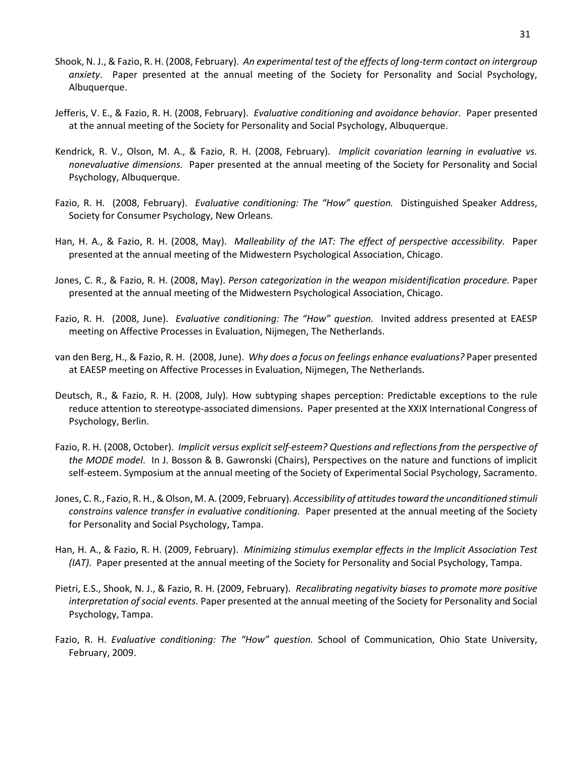- Shook, N. J., & Fazio, R. H. (2008, February). *An experimental test of the effects of long-term contact on intergroup anxiety*. Paper presented at the annual meeting of the Society for Personality and Social Psychology, Albuquerque.
- Jefferis, V. E., & Fazio, R. H. (2008, February). *Evaluative conditioning and avoidance behavior.* Paper presented at the annual meeting of the Society for Personality and Social Psychology, Albuquerque.
- Kendrick, R. V., Olson, M. A., & Fazio, R. H. (2008, February). *Implicit covariation learning in evaluative vs. nonevaluative dimensions.* Paper presented at the annual meeting of the Society for Personality and Social Psychology, Albuquerque.
- Fazio, R. H. (2008, February). *Evaluative conditioning: The "How" question.* Distinguished Speaker Address, Society for Consumer Psychology, New Orleans.
- Han, H. A., & Fazio, R. H. (2008, May). *Malleability of the IAT: The effect of perspective accessibility.* Paper presented at the annual meeting of the Midwestern Psychological Association, Chicago.
- Jones, C. R., & Fazio, R. H. (2008, May). *Person categorization in the weapon misidentification procedure.* Paper presented at the annual meeting of the Midwestern Psychological Association, Chicago.
- Fazio, R. H. (2008, June). *Evaluative conditioning: The "How" question.* Invited address presented at EAESP meeting on Affective Processes in Evaluation, Nijmegen, The Netherlands.
- van den Berg, H., & Fazio, R. H. (2008, June). *Why does a focus on feelings enhance evaluations?* Paper presented at EAESP meeting on Affective Processes in Evaluation, Nijmegen, The Netherlands.
- Deutsch, R., & Fazio, R. H. (2008, July). How subtyping shapes perception: Predictable exceptions to the rule reduce attention to stereotype-associated dimensions. Paper presented at the XXIX International Congress of Psychology, Berlin.
- Fazio, R. H. (2008, October). *Implicit versus explicit self-esteem? Questions and reflections from the perspective of the MODE model*. In J. Bosson & B. Gawronski (Chairs), Perspectives on the nature and functions of implicit self-esteem. Symposium at the annual meeting of the Society of Experimental Social Psychology, Sacramento.
- Jones, C. R., Fazio, R. H., & Olson, M. A. (2009, February). *Accessibility of attitudes toward the unconditioned stimuli constrains valence transfer in evaluative conditioning.* Paper presented at the annual meeting of the Society for Personality and Social Psychology, Tampa.
- Han, H. A., & Fazio, R. H. (2009, February). *Minimizing stimulus exemplar effects in the Implicit Association Test (IAT).* Paper presented at the annual meeting of the Society for Personality and Social Psychology, Tampa.
- Pietri, E.S., Shook, N. J., & Fazio, R. H. (2009, February). *Recalibrating negativity biases to promote more positive interpretation of social events.* Paper presented at the annual meeting of the Society for Personality and Social Psychology, Tampa.
- Fazio, R. H. *Evaluative conditioning: The "How" question.* School of Communication, Ohio State University, February, 2009.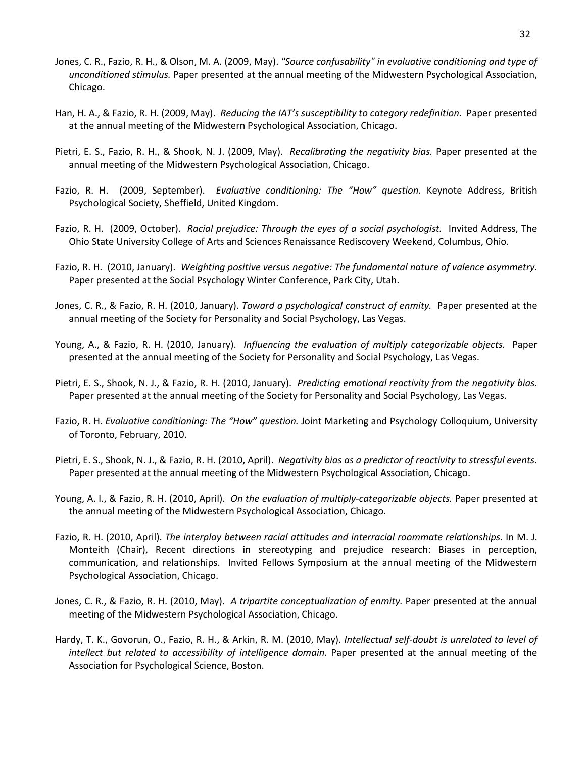- Jones, C. R., Fazio, R. H., & Olson, M. A. (2009, May). *"Source confusability" in evaluative conditioning and type of unconditioned stimulus.* Paper presented at the annual meeting of the Midwestern Psychological Association, Chicago.
- Han, H. A., & Fazio, R. H. (2009, May). *Reducing the IAT's susceptibility to category redefinition.* Paper presented at the annual meeting of the Midwestern Psychological Association, Chicago.
- Pietri, E. S., Fazio, R. H., & Shook, N. J. (2009, May). *Recalibrating the negativity bias.* Paper presented at the annual meeting of the Midwestern Psychological Association, Chicago.
- Fazio, R. H. (2009, September). *Evaluative conditioning: The "How" question.* Keynote Address, British Psychological Society, Sheffield, United Kingdom.
- Fazio, R. H. (2009, October). *Racial prejudice: Through the eyes of a social psychologist.* Invited Address, The Ohio State University College of Arts and Sciences Renaissance Rediscovery Weekend, Columbus, Ohio.
- Fazio, R. H. (2010, January). *Weighting positive versus negative: The fundamental nature of valence asymmetry*. Paper presented at the Social Psychology Winter Conference, Park City, Utah.
- Jones, C. R., & Fazio, R. H. (2010, January). *Toward a psychological construct of enmity.* Paper presented at the annual meeting of the Society for Personality and Social Psychology, Las Vegas.
- Young, A., & Fazio, R. H. (2010, January). *Influencing the evaluation of multiply categorizable objects.* Paper presented at the annual meeting of the Society for Personality and Social Psychology, Las Vegas.
- Pietri, E. S., Shook, N. J., & Fazio, R. H. (2010, January). *Predicting emotional reactivity from the negativity bias.*  Paper presented at the annual meeting of the Society for Personality and Social Psychology, Las Vegas.
- Fazio, R. H. *Evaluative conditioning: The "How" question.* Joint Marketing and Psychology Colloquium, University of Toronto, February, 2010.
- Pietri, E. S., Shook, N. J., & Fazio, R. H. (2010, April). *Negativity bias as a predictor of reactivity to stressful events.*  Paper presented at the annual meeting of the Midwestern Psychological Association, Chicago.
- Young, A. I., & Fazio, R. H. (2010, April). *On the evaluation of multiply-categorizable objects.* Paper presented at the annual meeting of the Midwestern Psychological Association, Chicago.
- Fazio, R. H. (2010, April). *The interplay between racial attitudes and interracial roommate relationships.* In M. J. Monteith (Chair), Recent directions in stereotyping and prejudice research: Biases in perception, communication, and relationships. Invited Fellows Symposium at the annual meeting of the Midwestern Psychological Association, Chicago.
- Jones, C. R., & Fazio, R. H. (2010, May). *A tripartite conceptualization of enmity.* Paper presented at the annual meeting of the Midwestern Psychological Association, Chicago.
- Hardy, T. K., Govorun, O., Fazio, R. H., & Arkin, R. M. (2010, May). *Intellectual self-doubt is unrelated to level of intellect but related to accessibility of intelligence domain.* Paper presented at the annual meeting of the Association for Psychological Science, Boston.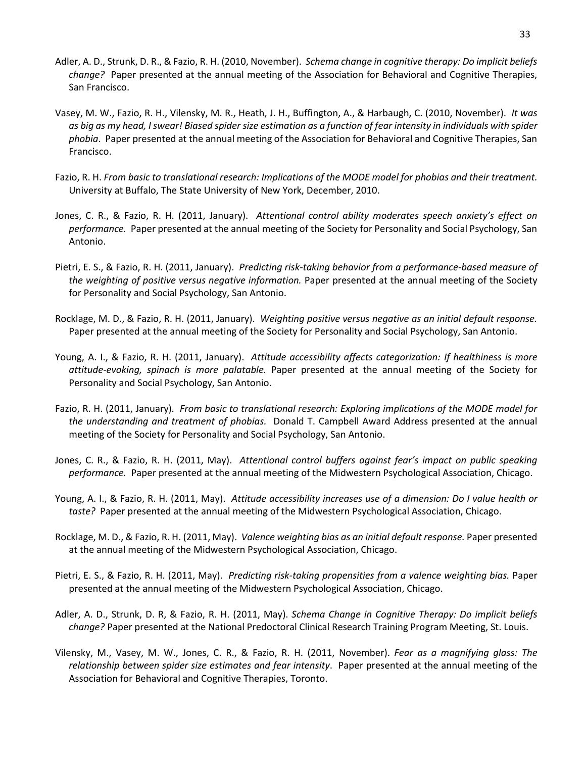- Adler, A. D., Strunk, D. R., & Fazio, R. H. (2010, November). *Schema change in cognitive therapy: Do implicit beliefs change?* Paper presented at the annual meeting of the Association for Behavioral and Cognitive Therapies, San Francisco.
- Vasey, M. W., Fazio, R. H., Vilensky, M. R., Heath, J. H., Buffington, A., & Harbaugh, C. (2010, November). *It was as big as my head, I swear! Biased spider size estimation as a function of fear intensity in individuals with spider phobia*. Paper presented at the annual meeting of the Association for Behavioral and Cognitive Therapies, San Francisco.
- Fazio, R. H. *From basic to translational research: Implications of the MODE model for phobias and their treatment.* University at Buffalo, The State University of New York, December, 2010.
- Jones, C. R., & Fazio, R. H. (2011, January). *Attentional control ability moderates speech anxiety's effect on performance.* Paper presented at the annual meeting of the Society for Personality and Social Psychology, San Antonio.
- Pietri, E. S., & Fazio, R. H. (2011, January). *Predicting risk-taking behavior from a performance-based measure of the weighting of positive versus negative information.* Paper presented at the annual meeting of the Society for Personality and Social Psychology, San Antonio.
- Rocklage, M. D., & Fazio, R. H. (2011, January). *Weighting positive versus negative as an initial default response.*  Paper presented at the annual meeting of the Society for Personality and Social Psychology, San Antonio.
- Young, A. I., & Fazio, R. H. (2011, January). *Attitude accessibility affects categorization: If healthiness is more attitude-evoking, spinach is more palatable.* Paper presented at the annual meeting of the Society for Personality and Social Psychology, San Antonio.
- Fazio, R. H. (2011, January). *From basic to translational research: Exploring implications of the MODE model for the understanding and treatment of phobias.* Donald T. Campbell Award Address presented at the annual meeting of the Society for Personality and Social Psychology, San Antonio.
- Jones, C. R., & Fazio, R. H. (2011, May). *Attentional control buffers against fear's impact on public speaking performance.* Paper presented at the annual meeting of the Midwestern Psychological Association, Chicago.
- Young, A. I., & Fazio, R. H. (2011, May). *Attitude accessibility increases use of a dimension: Do I value health or taste?* Paper presented at the annual meeting of the Midwestern Psychological Association, Chicago.
- Rocklage, M. D., & Fazio, R. H. (2011, May). *Valence weighting bias as an initial default response.* Paper presented at the annual meeting of the Midwestern Psychological Association, Chicago.
- Pietri, E. S., & Fazio, R. H. (2011, May). *Predicting risk-taking propensities from a valence weighting bias.* Paper presented at the annual meeting of the Midwestern Psychological Association, Chicago.
- Adler, A. D., Strunk, D. R, & Fazio, R. H. (2011, May). *Schema Change in Cognitive Therapy: Do implicit beliefs change?* Paper presented at the National Predoctoral Clinical Research Training Program Meeting, St. Louis.
- Vilensky, M., Vasey, M. W., Jones, C. R., & Fazio, R. H. (2011, November). *Fear as a magnifying glass: The relationship between spider size estimates and fear intensity*. Paper presented at the annual meeting of the Association for Behavioral and Cognitive Therapies, Toronto.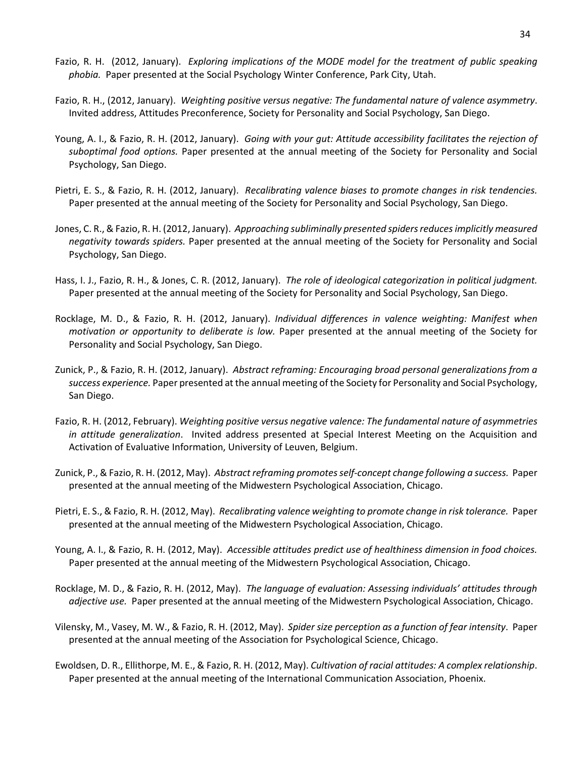- Fazio, R. H. (2012, January). *Exploring implications of the MODE model for the treatment of public speaking phobia.* Paper presented at the Social Psychology Winter Conference, Park City, Utah.
- Fazio, R. H., (2012, January). *Weighting positive versus negative: The fundamental nature of valence asymmetry*. Invited address, Attitudes Preconference, Society for Personality and Social Psychology, San Diego.
- Young, A. I., & Fazio, R. H. (2012, January). *Going with your gut: Attitude accessibility facilitates the rejection of suboptimal food options.* Paper presented at the annual meeting of the Society for Personality and Social Psychology, San Diego.
- Pietri, E. S., & Fazio, R. H. (2012, January). *Recalibrating valence biases to promote changes in risk tendencies.*  Paper presented at the annual meeting of the Society for Personality and Social Psychology, San Diego.
- Jones, C. R., & Fazio, R. H. (2012, January). *Approaching subliminally presented spiders reduces implicitly measured negativity towards spiders.* Paper presented at the annual meeting of the Society for Personality and Social Psychology, San Diego.
- Hass, I. J., Fazio, R. H., & Jones, C. R. (2012, January). *The role of ideological categorization in political judgment.*  Paper presented at the annual meeting of the Society for Personality and Social Psychology, San Diego.
- Rocklage, M. D., & Fazio, R. H. (2012, January). *Individual differences in valence weighting: Manifest when motivation or opportunity to deliberate is low.* Paper presented at the annual meeting of the Society for Personality and Social Psychology, San Diego.
- Zunick, P., & Fazio, R. H. (2012, January). *Abstract reframing: Encouraging broad personal generalizations from a success experience.* Paper presented at the annual meeting of the Society for Personality and Social Psychology, San Diego.
- Fazio, R. H. (2012, February). *Weighting positive versus negative valence: The fundamental nature of asymmetries in attitude generalization*. Invited address presented at Special Interest Meeting on the Acquisition and Activation of Evaluative Information, University of Leuven, Belgium.
- Zunick, P., & Fazio, R. H. (2012, May). *Abstract reframing promotes self-concept change following a success.* Paper presented at the annual meeting of the Midwestern Psychological Association, Chicago.
- Pietri, E. S., & Fazio, R. H. (2012, May). *Recalibrating valence weighting to promote change in risk tolerance.* Paper presented at the annual meeting of the Midwestern Psychological Association, Chicago.
- Young, A. I., & Fazio, R. H. (2012, May). *Accessible attitudes predict use of healthiness dimension in food choices.* Paper presented at the annual meeting of the Midwestern Psychological Association, Chicago.
- Rocklage, M. D., & Fazio, R. H. (2012, May). *The language of evaluation: Assessing individuals' attitudes through adjective use.* Paper presented at the annual meeting of the Midwestern Psychological Association, Chicago.
- Vilensky, M., Vasey, M. W., & Fazio, R. H. (2012, May). *Spider size perception as a function of fear intensity*. Paper presented at the annual meeting of the Association for Psychological Science, Chicago.
- Ewoldsen, D. R., Ellithorpe, M. E., & Fazio, R. H. (2012, May). *Cultivation of racial attitudes: A complex relationship*. Paper presented at the annual meeting of the International Communication Association, Phoenix.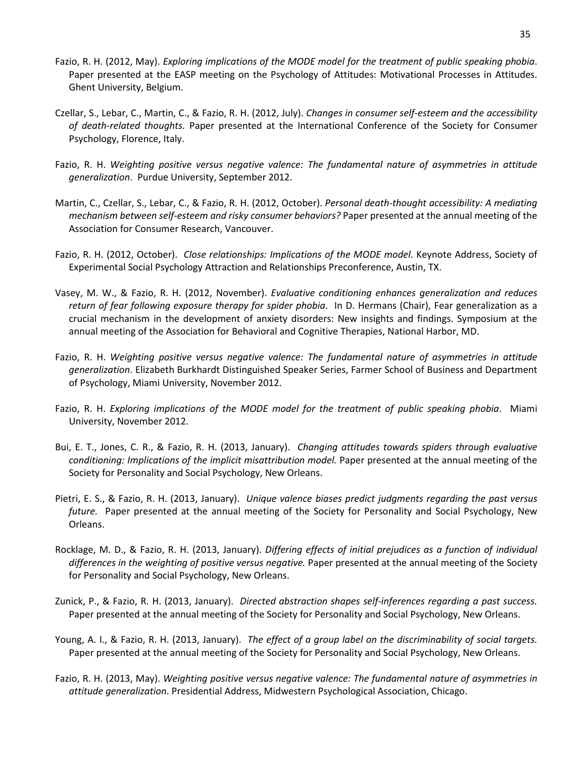- Fazio, R. H. (2012, May). *Exploring implications of the MODE model for the treatment of public speaking phobia*. Paper presented at the EASP meeting on the Psychology of Attitudes: Motivational Processes in Attitudes. Ghent University, Belgium.
- Czellar, S., Lebar, C., Martin, C., & Fazio, R. H. (2012, July). *Changes in consumer self-esteem and the accessibility of death-related thoughts.* Paper presented at the International Conference of the Society for Consumer Psychology, Florence, Italy.
- Fazio, R. H. *Weighting positive versus negative valence: The fundamental nature of asymmetries in attitude generalization*. Purdue University, September 2012.
- Martin, C., Czellar, S., Lebar, C., & Fazio, R. H. (2012, October). *Personal death-thought accessibility: A mediating mechanism between self-esteem and risky consumer behaviors?* Paper presented at the annual meeting of the Association for Consumer Research, Vancouver.
- Fazio, R. H. (2012, October). *Close relationships: Implications of the MODE model*. Keynote Address, Society of Experimental Social Psychology Attraction and Relationships Preconference, Austin, TX.
- Vasey, M. W., & Fazio, R. H. (2012, November). *Evaluative conditioning enhances generalization and reduces return of fear following exposure therapy for spider phobia*. In D. Hermans (Chair), Fear generalization as a crucial mechanism in the development of anxiety disorders: New insights and findings. Symposium at the annual meeting of the Association for Behavioral and Cognitive Therapies, National Harbor, MD.
- Fazio, R. H. *Weighting positive versus negative valence: The fundamental nature of asymmetries in attitude generalization*. Elizabeth Burkhardt Distinguished Speaker Series, Farmer School of Business and Department of Psychology, Miami University, November 2012.
- Fazio, R. H. *Exploring implications of the MODE model for the treatment of public speaking phobia*. Miami University, November 2012.
- Bui, E. T., Jones, C. R., & Fazio, R. H. (2013, January). *Changing attitudes towards spiders through evaluative conditioning: Implications of the implicit misattribution model.* Paper presented at the annual meeting of the Society for Personality and Social Psychology, New Orleans.
- Pietri, E. S., & Fazio, R. H. (2013, January). *Unique valence biases predict judgments regarding the past versus future.* Paper presented at the annual meeting of the Society for Personality and Social Psychology, New Orleans.
- Rocklage, M. D., & Fazio, R. H. (2013, January). *Differing effects of initial prejudices as a function of individual differences in the weighting of positive versus negative.* Paper presented at the annual meeting of the Society for Personality and Social Psychology, New Orleans.
- Zunick, P., & Fazio, R. H. (2013, January). *Directed abstraction shapes self-inferences regarding a past success.*  Paper presented at the annual meeting of the Society for Personality and Social Psychology, New Orleans.
- Young, A. I., & Fazio, R. H. (2013, January). *The effect of a group label on the discriminability of social targets.*  Paper presented at the annual meeting of the Society for Personality and Social Psychology, New Orleans.
- Fazio, R. H. (2013, May). *Weighting positive versus negative valence: The fundamental nature of asymmetries in attitude generalization*. Presidential Address, Midwestern Psychological Association, Chicago.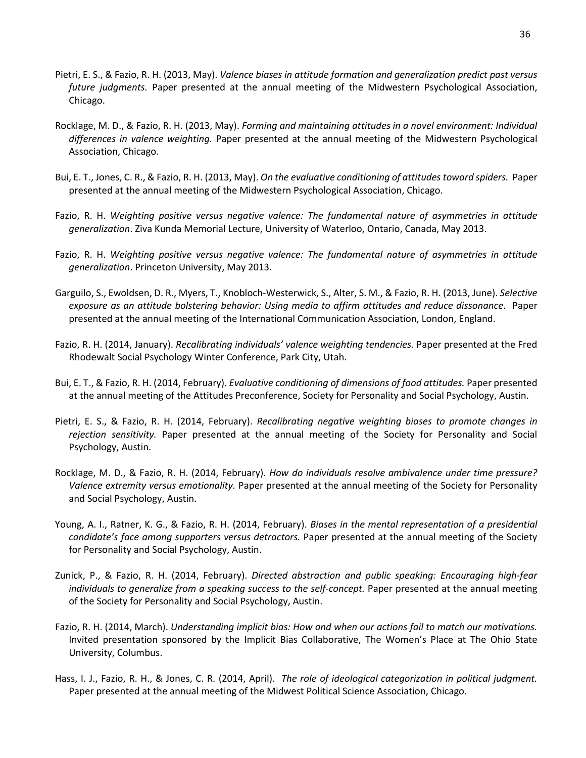- Pietri, E. S., & Fazio, R. H. (2013, May). *Valence biases in attitude formation and generalization predict past versus future judgments.* Paper presented at the annual meeting of the Midwestern Psychological Association, Chicago.
- Rocklage, M. D., & Fazio, R. H. (2013, May). *Forming and maintaining attitudes in a novel environment: Individual differences in valence weighting.* Paper presented at the annual meeting of the Midwestern Psychological Association, Chicago.
- Bui, E. T., Jones, C. R., & Fazio, R. H. (2013, May). *On the evaluative conditioning of attitudes toward spiders.* Paper presented at the annual meeting of the Midwestern Psychological Association, Chicago.
- Fazio, R. H. *Weighting positive versus negative valence: The fundamental nature of asymmetries in attitude generalization*. Ziva Kunda Memorial Lecture, University of Waterloo, Ontario, Canada, May 2013.
- Fazio, R. H. *Weighting positive versus negative valence: The fundamental nature of asymmetries in attitude generalization*. Princeton University, May 2013.
- Garguilo, S., Ewoldsen, D. R., Myers, T., Knobloch-Westerwick, S., Alter, S. M., & Fazio, R. H. (2013, June). *Selective exposure as an attitude bolstering behavior: Using media to affirm attitudes and reduce dissonance*. Paper presented at the annual meeting of the International Communication Association, London, England.
- Fazio, R. H. (2014, January). *Recalibrating individuals' valence weighting tendencies.* Paper presented at the Fred Rhodewalt Social Psychology Winter Conference, Park City, Utah.
- Bui, E. T., & Fazio, R. H. (2014, February). *Evaluative conditioning of dimensions of food attitudes.* Paper presented at the annual meeting of the Attitudes Preconference, Society for Personality and Social Psychology, Austin.
- Pietri, E. S., & Fazio, R. H. (2014, February). *Recalibrating negative weighting biases to promote changes in rejection sensitivity.* Paper presented at the annual meeting of the Society for Personality and Social Psychology, Austin.
- Rocklage, M. D., & Fazio, R. H. (2014, February). *How do individuals resolve ambivalence under time pressure? Valence extremity versus emotionality.* Paper presented at the annual meeting of the Society for Personality and Social Psychology, Austin.
- Young, A. I., Ratner, K. G., & Fazio, R. H. (2014, February). *Biases in the mental representation of a presidential candidate's face among supporters versus detractors.* Paper presented at the annual meeting of the Society for Personality and Social Psychology, Austin.
- Zunick, P., & Fazio, R. H. (2014, February). *Directed abstraction and public speaking: Encouraging high-fear*  individuals to generalize from a speaking success to the self-concept. Paper presented at the annual meeting of the Society for Personality and Social Psychology, Austin.
- Fazio, R. H. (2014, March). *Understanding implicit bias: How and when our actions fail to match our motivations.*  Invited presentation sponsored by the Implicit Bias Collaborative, The Women's Place at The Ohio State University, Columbus.
- Hass, I. J., Fazio, R. H., & Jones, C. R. (2014, April). *The role of ideological categorization in political judgment.*  Paper presented at the annual meeting of the Midwest Political Science Association, Chicago.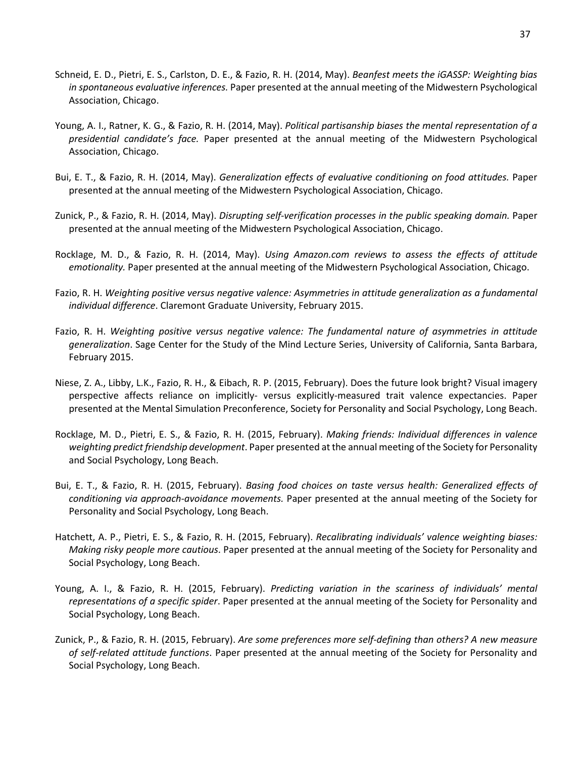- Schneid, E. D., Pietri, E. S., Carlston, D. E., & Fazio, R. H. (2014, May). *Beanfest meets the iGASSP: Weighting bias in spontaneous evaluative inferences.* Paper presented at the annual meeting of the Midwestern Psychological Association, Chicago.
- Young, A. I., Ratner, K. G., & Fazio, R. H. (2014, May). *Political partisanship biases the mental representation of a presidential candidate's face.* Paper presented at the annual meeting of the Midwestern Psychological Association, Chicago.
- Bui, E. T., & Fazio, R. H. (2014, May). *Generalization effects of evaluative conditioning on food attitudes.* Paper presented at the annual meeting of the Midwestern Psychological Association, Chicago.
- Zunick, P., & Fazio, R. H. (2014, May). *Disrupting self-verification processes in the public speaking domain.* Paper presented at the annual meeting of the Midwestern Psychological Association, Chicago.
- Rocklage, M. D., & Fazio, R. H. (2014, May). *Using Amazon.com reviews to assess the effects of attitude emotionality.* Paper presented at the annual meeting of the Midwestern Psychological Association, Chicago.
- Fazio, R. H. *Weighting positive versus negative valence: Asymmetries in attitude generalization as a fundamental individual difference*. Claremont Graduate University, February 2015.
- Fazio, R. H. *Weighting positive versus negative valence: The fundamental nature of asymmetries in attitude generalization*. Sage Center for the Study of the Mind Lecture Series, University of California, Santa Barbara, February 2015.
- Niese, Z. A., Libby, L.K., Fazio, R. H., & Eibach, R. P. (2015, February). Does the future look bright? Visual imagery perspective affects reliance on implicitly- versus explicitly-measured trait valence expectancies. Paper presented at the Mental Simulation Preconference, Society for Personality and Social Psychology, Long Beach.
- Rocklage, M. D., Pietri, E. S., & Fazio, R. H. (2015, February). *Making friends: Individual differences in valence weighting predict friendship development*. Paper presented at the annual meeting of the Society for Personality and Social Psychology, Long Beach.
- Bui, E. T., & Fazio, R. H. (2015, February). *Basing food choices on taste versus health: Generalized effects of conditioning via approach-avoidance movements.* Paper presented at the annual meeting of the Society for Personality and Social Psychology, Long Beach.
- Hatchett, A. P., Pietri, E. S., & Fazio, R. H. (2015, February). *Recalibrating individuals' valence weighting biases: Making risky people more cautious*. Paper presented at the annual meeting of the Society for Personality and Social Psychology, Long Beach.
- Young, A. I., & Fazio, R. H. (2015, February). *Predicting variation in the scariness of individuals' mental representations of a specific spider*. Paper presented at the annual meeting of the Society for Personality and Social Psychology, Long Beach.
- Zunick, P., & Fazio, R. H. (2015, February). *Are some preferences more self-defining than others? A new measure of self-related attitude functions*. Paper presented at the annual meeting of the Society for Personality and Social Psychology, Long Beach.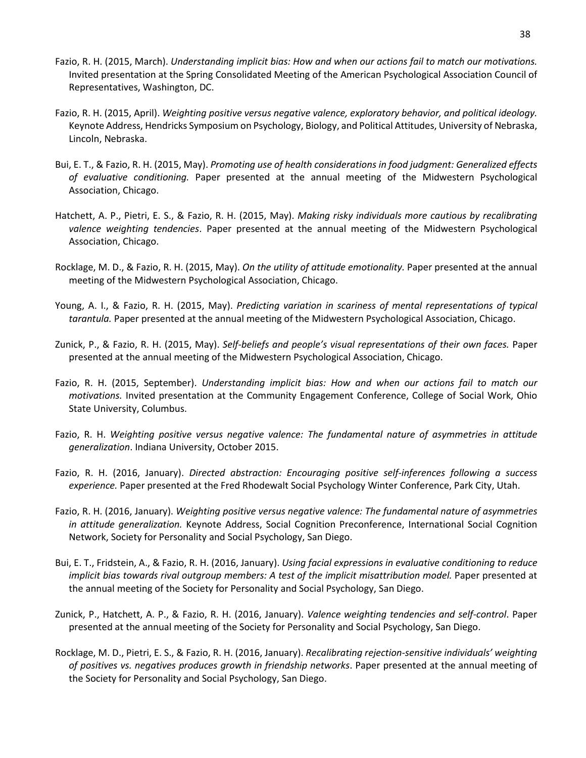- Fazio, R. H. (2015, March). *Understanding implicit bias: How and when our actions fail to match our motivations.*  Invited presentation at the Spring Consolidated Meeting of the American Psychological Association Council of Representatives, Washington, DC.
- Fazio, R. H. (2015, April). *Weighting positive versus negative valence, exploratory behavior, and political ideology.*  Keynote Address, Hendricks Symposium on Psychology, Biology, and Political Attitudes, University of Nebraska, Lincoln, Nebraska.
- Bui, E. T., & Fazio, R. H. (2015, May). *Promoting use of health considerations in food judgment: Generalized effects of evaluative conditioning.* Paper presented at the annual meeting of the Midwestern Psychological Association, Chicago.
- Hatchett, A. P., Pietri, E. S., & Fazio, R. H. (2015, May). *Making risky individuals more cautious by recalibrating valence weighting tendencies*. Paper presented at the annual meeting of the Midwestern Psychological Association, Chicago.
- Rocklage, M. D., & Fazio, R. H. (2015, May). *On the utility of attitude emotionality.* Paper presented at the annual meeting of the Midwestern Psychological Association, Chicago.
- Young, A. I., & Fazio, R. H. (2015, May). *Predicting variation in scariness of mental representations of typical tarantula.* Paper presented at the annual meeting of the Midwestern Psychological Association, Chicago.
- Zunick, P., & Fazio, R. H. (2015, May). *Self-beliefs and people's visual representations of their own faces.* Paper presented at the annual meeting of the Midwestern Psychological Association, Chicago.
- Fazio, R. H. (2015, September). *Understanding implicit bias: How and when our actions fail to match our motivations.* Invited presentation at the Community Engagement Conference, College of Social Work, Ohio State University, Columbus.
- Fazio, R. H. *Weighting positive versus negative valence: The fundamental nature of asymmetries in attitude generalization*. Indiana University, October 2015.
- Fazio, R. H. (2016, January). *Directed abstraction: Encouraging positive self-inferences following a success experience.* Paper presented at the Fred Rhodewalt Social Psychology Winter Conference, Park City, Utah.
- Fazio, R. H. (2016, January). *Weighting positive versus negative valence: The fundamental nature of asymmetries in attitude generalization.* Keynote Address, Social Cognition Preconference, International Social Cognition Network, Society for Personality and Social Psychology, San Diego.
- Bui, E. T., Fridstein, A., & Fazio, R. H. (2016, January). *Using facial expressions in evaluative conditioning to reduce implicit bias towards rival outgroup members: A test of the implicit misattribution model.* Paper presented at the annual meeting of the Society for Personality and Social Psychology, San Diego.
- Zunick, P., Hatchett, A. P., & Fazio, R. H. (2016, January). *Valence weighting tendencies and self-control*. Paper presented at the annual meeting of the Society for Personality and Social Psychology, San Diego.
- Rocklage, M. D., Pietri, E. S., & Fazio, R. H. (2016, January). *Recalibrating rejection-sensitive individuals' weighting of positives vs. negatives produces growth in friendship networks*. Paper presented at the annual meeting of the Society for Personality and Social Psychology, San Diego.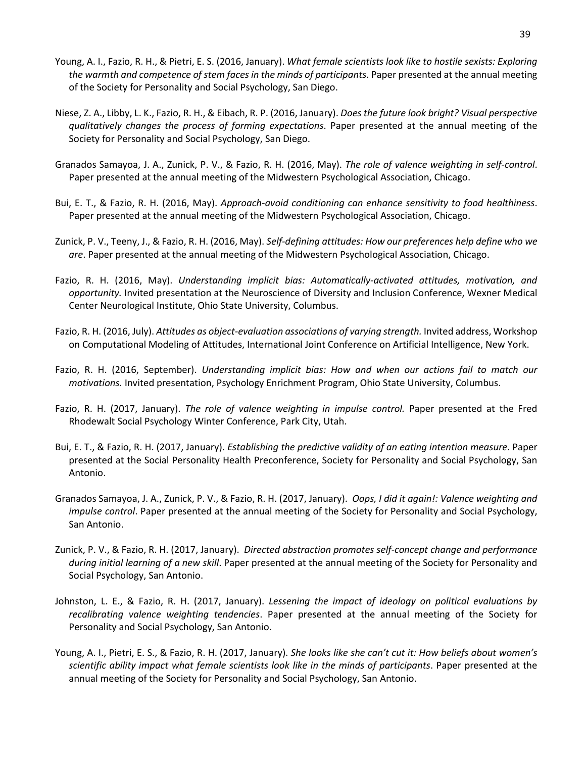- Young, A. I., Fazio, R. H., & Pietri, E. S. (2016, January). *What female scientists look like to hostile sexists: Exploring the warmth and competence of stem faces in the minds of participants*. Paper presented at the annual meeting of the Society for Personality and Social Psychology, San Diego.
- Niese, Z. A., Libby, L. K., Fazio, R. H., & Eibach, R. P. (2016, January). *Does the future look bright? Visual perspective qualitatively changes the process of forming expectations*. Paper presented at the annual meeting of the Society for Personality and Social Psychology, San Diego.
- Granados Samayoa, J. A., Zunick, P. V., & Fazio, R. H. (2016, May). *The role of valence weighting in self-control*. Paper presented at the annual meeting of the Midwestern Psychological Association, Chicago.
- Bui, E. T., & Fazio, R. H. (2016, May). *Approach-avoid conditioning can enhance sensitivity to food healthiness*. Paper presented at the annual meeting of the Midwestern Psychological Association, Chicago.
- Zunick, P. V., Teeny, J., & Fazio, R. H. (2016, May). *Self-defining attitudes: How our preferences help define who we are*. Paper presented at the annual meeting of the Midwestern Psychological Association, Chicago.
- Fazio, R. H. (2016, May). *Understanding implicit bias: Automatically-activated attitudes, motivation, and opportunity.* Invited presentation at the Neuroscience of Diversity and Inclusion Conference, Wexner Medical Center Neurological Institute, Ohio State University, Columbus.
- Fazio, R. H. (2016, July). *Attitudes as object-evaluation associations of varying strength*. Invited address, Workshop on Computational Modeling of Attitudes, International Joint Conference on Artificial Intelligence, New York.
- Fazio, R. H. (2016, September). *Understanding implicit bias: How and when our actions fail to match our motivations.* Invited presentation, Psychology Enrichment Program, Ohio State University, Columbus.
- Fazio, R. H. (2017, January). *The role of valence weighting in impulse control.* Paper presented at the Fred Rhodewalt Social Psychology Winter Conference, Park City, Utah.
- Bui, E. T., & Fazio, R. H. (2017, January). *Establishing the predictive validity of an eating intention measure*. Paper presented at the Social Personality Health Preconference, Society for Personality and Social Psychology, San Antonio.
- Granados Samayoa, J. A., Zunick, P. V., & Fazio, R. H. (2017, January). *Oops, I did it again!: Valence weighting and impulse control*. Paper presented at the annual meeting of the Society for Personality and Social Psychology, San Antonio.
- Zunick, P. V., & Fazio, R. H. (2017, January). *Directed abstraction promotes self-concept change and performance during initial learning of a new skill*. Paper presented at the annual meeting of the Society for Personality and Social Psychology, San Antonio.
- Johnston, L. E., & Fazio, R. H. (2017, January). *Lessening the impact of ideology on political evaluations by recalibrating valence weighting tendencies*. Paper presented at the annual meeting of the Society for Personality and Social Psychology, San Antonio.
- Young, A. I., Pietri, E. S., & Fazio, R. H. (2017, January). *She looks like she can't cut it: How beliefs about women's scientific ability impact what female scientists look like in the minds of participants*. Paper presented at the annual meeting of the Society for Personality and Social Psychology, San Antonio.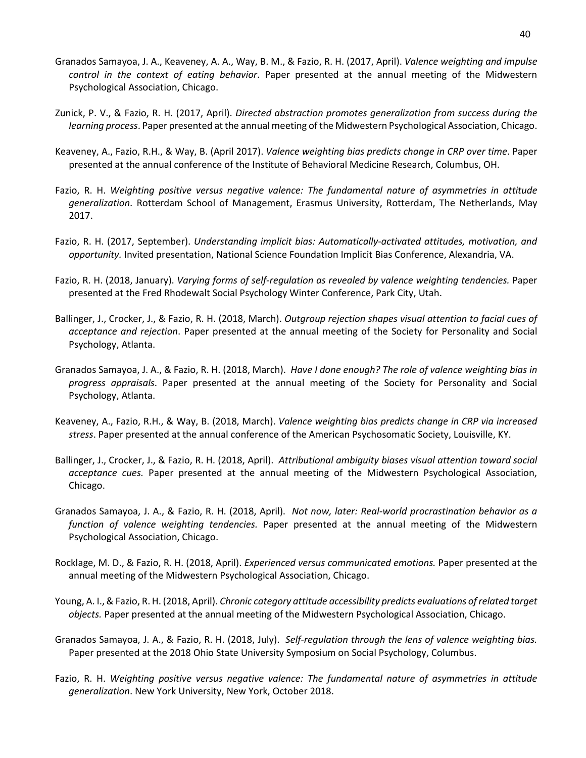- Granados Samayoa, J. A., Keaveney, A. A., Way, B. M., & Fazio, R. H. (2017, April). *Valence weighting and impulse control in the context of eating behavior*. Paper presented at the annual meeting of the Midwestern Psychological Association, Chicago.
- Zunick, P. V., & Fazio, R. H. (2017, April). *Directed abstraction promotes generalization from success during the learning process*. Paper presented at the annual meeting of the Midwestern Psychological Association, Chicago.
- Keaveney, A., Fazio, R.H., & Way, B. (April 2017). *Valence weighting bias predicts change in CRP over time*. Paper presented at the annual conference of the Institute of Behavioral Medicine Research, Columbus, OH.
- Fazio, R. H. *Weighting positive versus negative valence: The fundamental nature of asymmetries in attitude generalization*. Rotterdam School of Management, Erasmus University, Rotterdam, The Netherlands, May 2017.
- Fazio, R. H. (2017, September). *Understanding implicit bias: Automatically-activated attitudes, motivation, and opportunity.* Invited presentation, National Science Foundation Implicit Bias Conference, Alexandria, VA.
- Fazio, R. H. (2018, January). *Varying forms of self-regulation as revealed by valence weighting tendencies.* Paper presented at the Fred Rhodewalt Social Psychology Winter Conference, Park City, Utah.
- Ballinger, J., Crocker, J., & Fazio, R. H. (2018, March). *Outgroup rejection shapes visual attention to facial cues of acceptance and rejection*. Paper presented at the annual meeting of the Society for Personality and Social Psychology, Atlanta.
- Granados Samayoa, J. A., & Fazio, R. H. (2018, March). *Have I done enough? The role of valence weighting bias in progress appraisals*. Paper presented at the annual meeting of the Society for Personality and Social Psychology, Atlanta.
- Keaveney, A., Fazio, R.H., & Way, B. (2018, March). *Valence weighting bias predicts change in CRP via increased stress*. Paper presented at the annual conference of the American Psychosomatic Society, Louisville, KY.
- Ballinger, J., Crocker, J., & Fazio, R. H. (2018, April). *Attributional ambiguity biases visual attention toward social acceptance cues.* Paper presented at the annual meeting of the Midwestern Psychological Association, Chicago.
- Granados Samayoa, J. A., & Fazio, R. H. (2018, April). *Not now, later: Real-world procrastination behavior as a function of valence weighting tendencies.* Paper presented at the annual meeting of the Midwestern Psychological Association, Chicago.
- Rocklage, M. D., & Fazio, R. H. (2018, April). *Experienced versus communicated emotions.* Paper presented at the annual meeting of the Midwestern Psychological Association, Chicago.
- Young, A. I.,& Fazio, R. H. (2018, April). *Chronic category attitude accessibility predicts evaluations ofrelated target objects.* Paper presented at the annual meeting of the Midwestern Psychological Association, Chicago.
- Granados Samayoa, J. A., & Fazio, R. H. (2018, July). *Self-regulation through the lens of valence weighting bias.*  Paper presented at the 2018 Ohio State University Symposium on Social Psychology, Columbus.
- Fazio, R. H. *Weighting positive versus negative valence: The fundamental nature of asymmetries in attitude generalization*. New York University, New York, October 2018.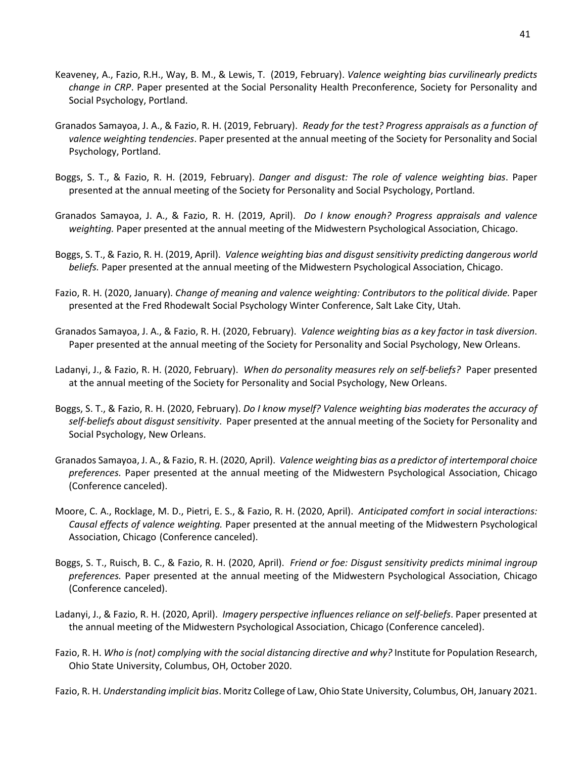- Keaveney, A., Fazio, R.H., Way, B. M., & Lewis, T. (2019, February). *Valence weighting bias curvilinearly predicts change in CRP*. Paper presented at the Social Personality Health Preconference, Society for Personality and Social Psychology, Portland.
- Granados Samayoa, J. A., & Fazio, R. H. (2019, February). *Ready for the test? Progress appraisals as a function of valence weighting tendencies*. Paper presented at the annual meeting of the Society for Personality and Social Psychology, Portland.
- Boggs, S. T., & Fazio, R. H. (2019, February). *Danger and disgust: The role of valence weighting bias*. Paper presented at the annual meeting of the Society for Personality and Social Psychology, Portland.
- Granados Samayoa, J. A., & Fazio, R. H. (2019, April). *Do I know enough? Progress appraisals and valence weighting.* Paper presented at the annual meeting of the Midwestern Psychological Association, Chicago.
- Boggs, S. T., & Fazio, R. H. (2019, April). *Valence weighting bias and disgust sensitivity predicting dangerous world beliefs.* Paper presented at the annual meeting of the Midwestern Psychological Association, Chicago.
- Fazio, R. H. (2020, January). *Change of meaning and valence weighting: Contributors to the political divide.* Paper presented at the Fred Rhodewalt Social Psychology Winter Conference, Salt Lake City, Utah.
- Granados Samayoa, J. A., & Fazio, R. H. (2020, February). *Valence weighting bias as a key factor in task diversion*. Paper presented at the annual meeting of the Society for Personality and Social Psychology, New Orleans.
- Ladanyi, J., & Fazio, R. H. (2020, February). *When do personality measures rely on self-beliefs?* Paper presented at the annual meeting of the Society for Personality and Social Psychology, New Orleans.
- Boggs, S. T., & Fazio, R. H. (2020, February). *Do I know myself? Valence weighting bias moderates the accuracy of self-beliefs about disgust sensitivity*. Paper presented at the annual meeting of the Society for Personality and Social Psychology, New Orleans.
- Granados Samayoa, J. A., & Fazio, R. H. (2020, April). *Valence weighting bias as a predictor of intertemporal choice preferences.* Paper presented at the annual meeting of the Midwestern Psychological Association, Chicago (Conference canceled).
- Moore, C. A., Rocklage, M. D., Pietri, E. S., & Fazio, R. H. (2020, April). *Anticipated comfort in social interactions: Causal effects of valence weighting.* Paper presented at the annual meeting of the Midwestern Psychological Association, Chicago (Conference canceled).
- Boggs, S. T., Ruisch, B. C., & Fazio, R. H. (2020, April). *Friend or foe: Disgust sensitivity predicts minimal ingroup preferences.* Paper presented at the annual meeting of the Midwestern Psychological Association, Chicago (Conference canceled).
- Ladanyi, J., & Fazio, R. H. (2020, April). *Imagery perspective influences reliance on self-beliefs*. Paper presented at the annual meeting of the Midwestern Psychological Association, Chicago (Conference canceled).
- Fazio, R. H. *Who is (not) complying with the social distancing directive and why?* Institute for Population Research, Ohio State University, Columbus, OH, October 2020.

Fazio, R. H. *Understanding implicit bias*. Moritz College of Law, Ohio State University, Columbus, OH, January 2021.